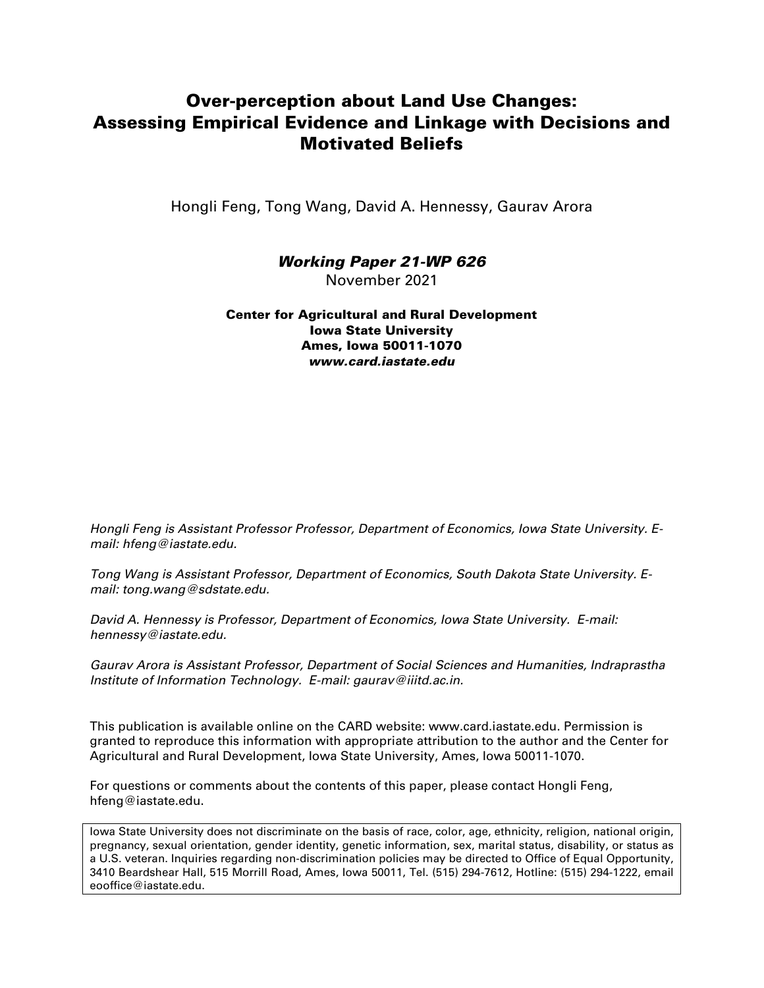# Over-perception about Land Use Changes: Assessing Empirical Evidence and Linkage with Decisions and Motivated Beliefs

Hongli Feng, Tong Wang, David A. Hennessy, Gaurav Arora

*Working Paper 21-WP 626*

November 2021

Center for Agricultural and Rural Development Iowa State University Ames, Iowa 50011-1070 *www.card.iastate.edu*

*Hongli Feng is Assistant Professor Professor, Department of Economics, Iowa State University. Email: hfeng@iastate.edu.*

*Tong Wang is Assistant Professor, Department of Economics, South Dakota State University. Email: tong.wang@sdstate.edu.*

*David A. Hennessy is Professor, Department of Economics, Iowa State University. E-mail: hennessy@iastate.edu.*

*Gaurav Arora is Assistant Professor, Department of Social Sciences and Humanities, Indraprastha Institute of Information Technology. E-mail: gaurav@iiitd.ac.in.*

This publication is available online on the CARD website: www.card.iastate.edu. Permission is granted to reproduce this information with appropriate attribution to the author and the Center for Agricultural and Rural Development, Iowa State University, Ames, Iowa 50011-1070.

For questions or comments about the contents of this paper, please contact Hongli Feng, hfeng@iastate.edu.

Iowa State University does not discriminate on the basis of race, color, age, ethnicity, religion, national origin, pregnancy, sexual orientation, gender identity, genetic information, sex, marital status, disability, or status as a U.S. veteran. Inquiries regarding non-discrimination policies may be directed to Office of Equal Opportunity, 3410 Beardshear Hall, 515 Morrill Road, Ames, Iowa 50011, Tel. (515) 294-7612, Hotline: (515) 294-1222, email eooffice@iastate.edu.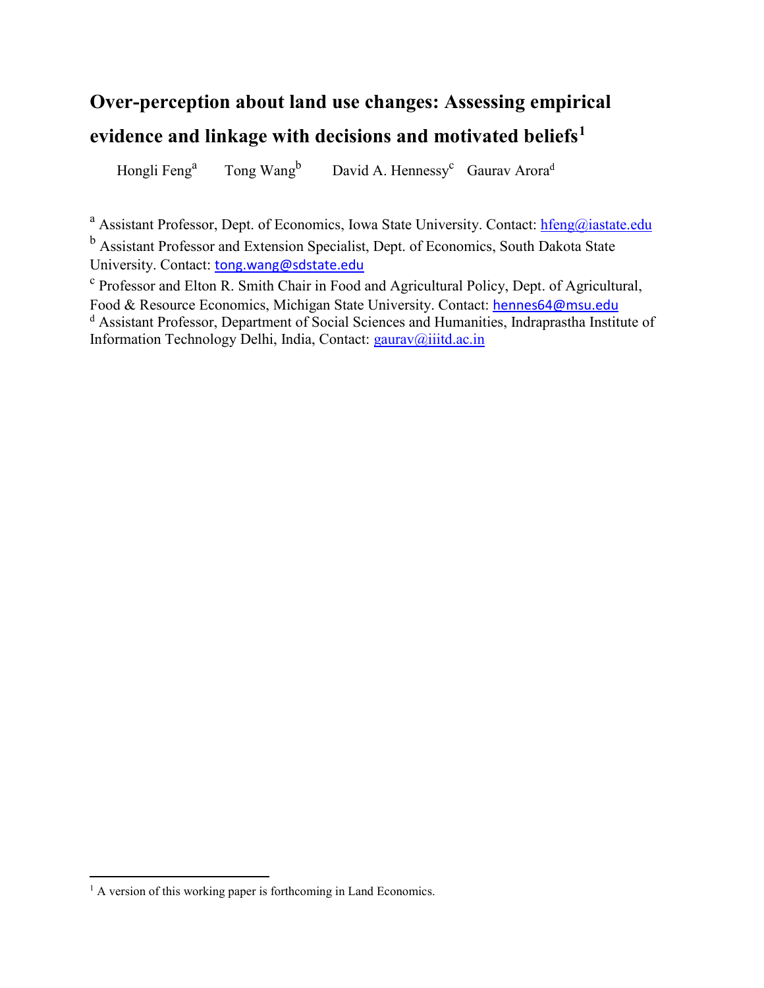# **Over-perception about land use changes: Assessing empirical evidence and linkage with decisions and motivated beliefs[1](#page-1-0)**

Hongli Feng<sup>a</sup> Tong Wang<sup>b</sup> David A. Hennessy<sup>c</sup> Gaurav Arora<sup>d</sup>

<sup>a</sup> Assistant Professor, Dept. of Economics, Iowa State University. Contact: *hfeng@iastate.edu* <sup>b</sup> Assistant Professor and Extension Specialist, Dept. of Economics, South Dakota State University. Contact: [tong.wang@sdstate.edu](mailto:tong.wang@sdstate.edu)

<sup>c</sup> Professor and Elton R. Smith Chair in Food and Agricultural Policy, Dept. of Agricultural, Food & Resource Economics, Michigan State University. Contact: [hennes64@msu.edu](mailto:hennes64@msu.edu) <sup>d</sup> Assistant Professor, Department of Social Sciences and Humanities, Indraprastha Institute of Information Technology Delhi, India, Contact: [gaurav@iiitd.ac.in](mailto:gaurav@iiitd.ac.in)

<span id="page-1-0"></span> $<sup>1</sup>$  A version of this working paper is forthcoming in Land Economics.</sup>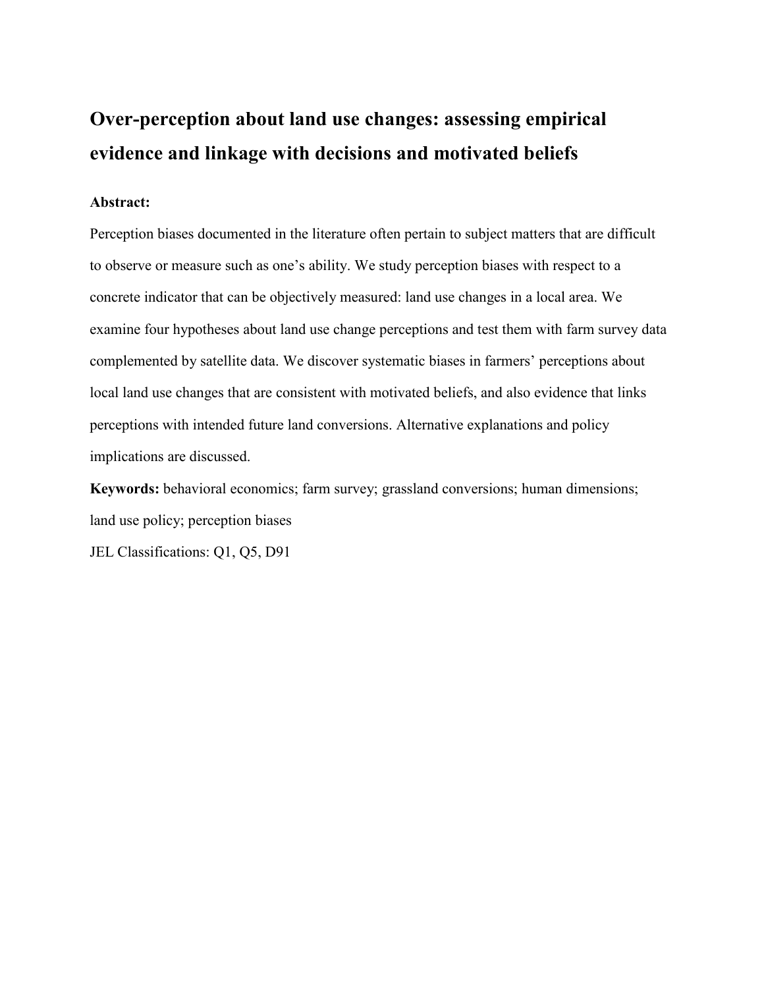# **Over-perception about land use changes: assessing empirical evidence and linkage with decisions and motivated beliefs**

## **Abstract:**

Perception biases documented in the literature often pertain to subject matters that are difficult to observe or measure such as one's ability. We study perception biases with respect to a concrete indicator that can be objectively measured: land use changes in a local area. We examine four hypotheses about land use change perceptions and test them with farm survey data complemented by satellite data. We discover systematic biases in farmers' perceptions about local land use changes that are consistent with motivated beliefs, and also evidence that links perceptions with intended future land conversions. Alternative explanations and policy implications are discussed.

**Keywords:** behavioral economics; farm survey; grassland conversions; human dimensions; land use policy; perception biases

JEL Classifications: Q1, Q5, D91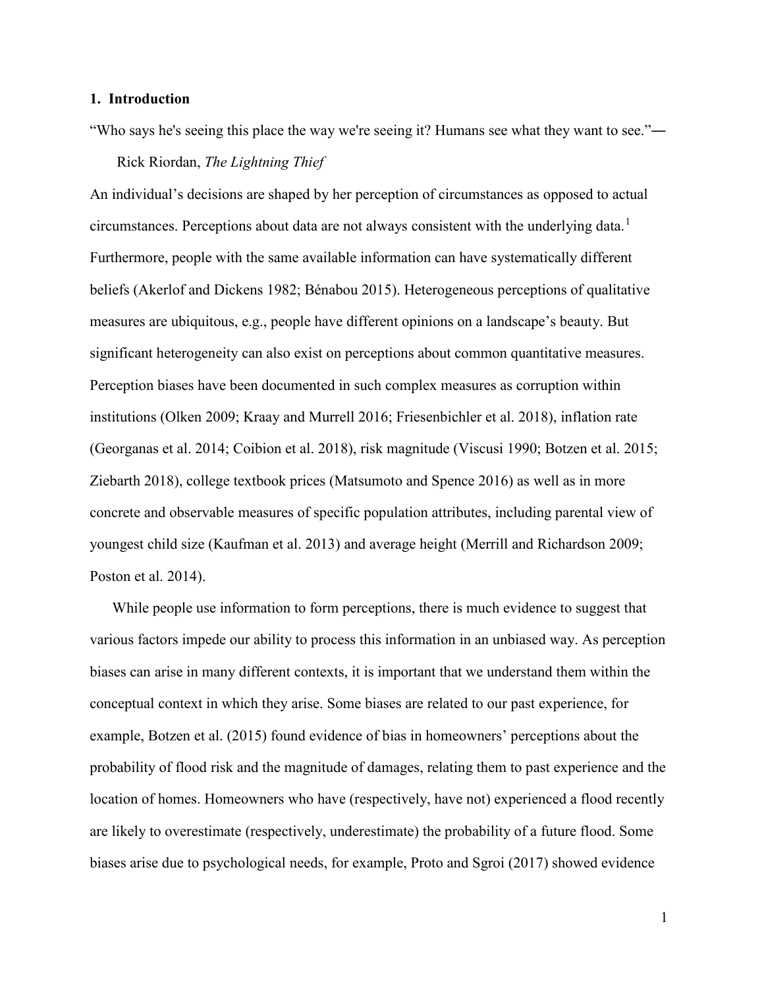#### **1. Introduction**

"Who says he's seeing this place the way we're seeing it? Humans see what they want to see."―

### Rick Riordan, *The Lightning Thief*

An individual's decisions are shaped by her perception of circumstances as opposed to actual circumstances. Perceptions about data are not always consistent with the underlying data. [1](#page-43-0) Furthermore, people with the same available information can have systematically different beliefs (Akerlof and Dickens 1982; Bénabou 2015). Heterogeneous perceptions of qualitative measures are ubiquitous, e.g., people have different opinions on a landscape's beauty. But significant heterogeneity can also exist on perceptions about common quantitative measures. Perception biases have been documented in such complex measures as corruption within institutions (Olken 2009; Kraay and Murrell 2016; Friesenbichler et al. 2018), inflation rate (Georganas et al. 2014; Coibion et al. 2018), risk magnitude (Viscusi 1990; Botzen et al. 2015; Ziebarth 2018), college textbook prices (Matsumoto and Spence 2016) as well as in more concrete and observable measures of specific population attributes, including parental view of youngest child size (Kaufman et al. 2013) and average height (Merrill and Richardson 2009; Poston et al. 2014).

While people use information to form perceptions, there is much evidence to suggest that various factors impede our ability to process this information in an unbiased way. As perception biases can arise in many different contexts, it is important that we understand them within the conceptual context in which they arise. Some biases are related to our past experience, for example, Botzen et al. (2015) found evidence of bias in homeowners' perceptions about the probability of flood risk and the magnitude of damages, relating them to past experience and the location of homes. Homeowners who have (respectively, have not) experienced a flood recently are likely to overestimate (respectively, underestimate) the probability of a future flood. Some biases arise due to psychological needs, for example, Proto and Sgroi (2017) showed evidence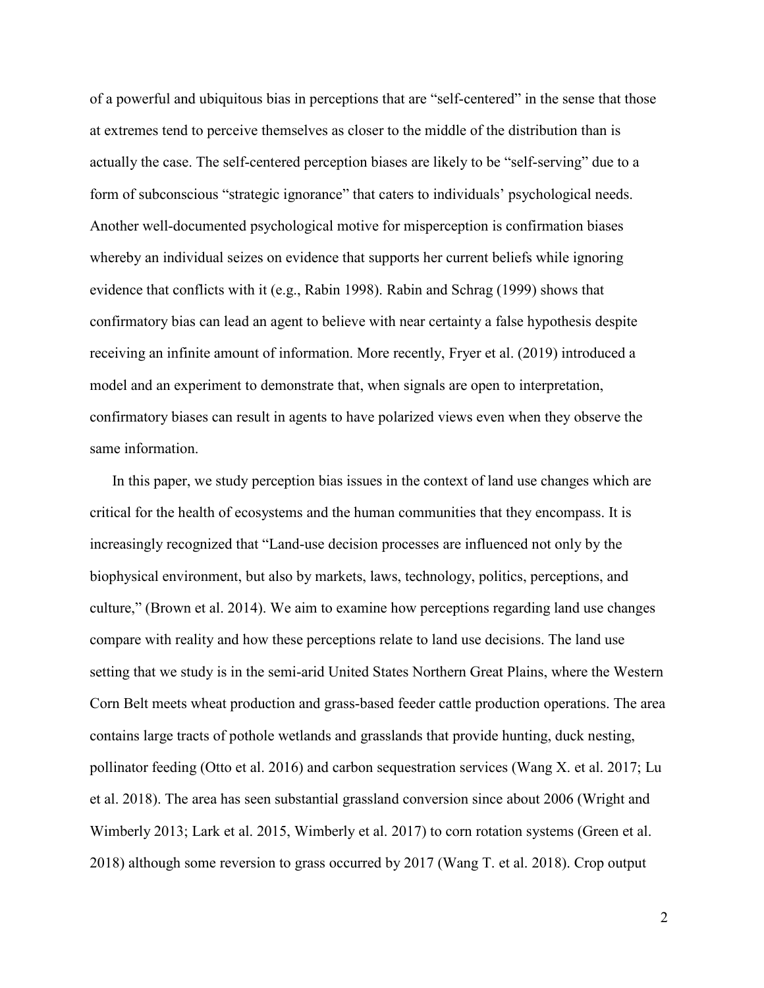of a powerful and ubiquitous bias in perceptions that are "self-centered" in the sense that those at extremes tend to perceive themselves as closer to the middle of the distribution than is actually the case. The self-centered perception biases are likely to be "self-serving" due to a form of subconscious "strategic ignorance" that caters to individuals' psychological needs. Another well-documented psychological motive for misperception is confirmation biases whereby an individual seizes on evidence that supports her current beliefs while ignoring evidence that conflicts with it (e.g., Rabin 1998). Rabin and Schrag (1999) shows that confirmatory bias can lead an agent to believe with near certainty a false hypothesis despite receiving an infinite amount of information. More recently, Fryer et al. (2019) introduced a model and an experiment to demonstrate that, when signals are open to interpretation, confirmatory biases can result in agents to have polarized views even when they observe the same information.

In this paper, we study perception bias issues in the context of land use changes which are critical for the health of ecosystems and the human communities that they encompass. It is increasingly recognized that "Land-use decision processes are influenced not only by the biophysical environment, but also by markets, laws, technology, politics, perceptions, and culture," (Brown et al. 2014). We aim to examine how perceptions regarding land use changes compare with reality and how these perceptions relate to land use decisions. The land use setting that we study is in the semi-arid United States Northern Great Plains, where the Western Corn Belt meets wheat production and grass-based feeder cattle production operations. The area contains large tracts of pothole wetlands and grasslands that provide hunting, duck nesting, pollinator feeding (Otto et al. 2016) and carbon sequestration services (Wang X. et al. 2017; Lu et al. 2018). The area has seen substantial grassland conversion since about 2006 (Wright and Wimberly 2013; Lark et al. 2015, Wimberly et al. 2017) to corn rotation systems (Green et al. 2018) although some reversion to grass occurred by 2017 (Wang T. et al. 2018). Crop output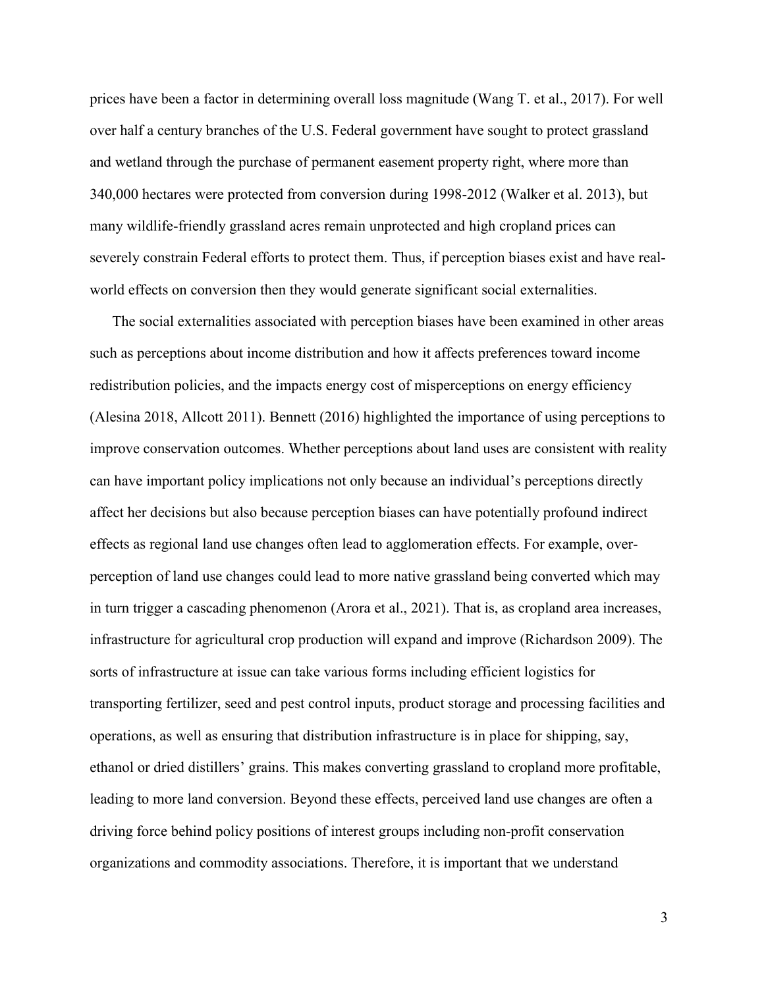prices have been a factor in determining overall loss magnitude (Wang T. et al., 2017). For well over half a century branches of the U.S. Federal government have sought to protect grassland and wetland through the purchase of permanent easement property right, where more than 340,000 hectares were protected from conversion during 1998-2012 (Walker et al. 2013), but many wildlife-friendly grassland acres remain unprotected and high cropland prices can severely constrain Federal efforts to protect them. Thus, if perception biases exist and have realworld effects on conversion then they would generate significant social externalities.

The social externalities associated with perception biases have been examined in other areas such as perceptions about income distribution and how it affects preferences toward income redistribution policies, and the impacts energy cost of misperceptions on energy efficiency (Alesina 2018, Allcott 2011). Bennett (2016) highlighted the importance of using perceptions to improve conservation outcomes. Whether perceptions about land uses are consistent with reality can have important policy implications not only because an individual's perceptions directly affect her decisions but also because perception biases can have potentially profound indirect effects as regional land use changes often lead to agglomeration effects. For example, overperception of land use changes could lead to more native grassland being converted which may in turn trigger a cascading phenomenon (Arora et al., 2021). That is, as cropland area increases, infrastructure for agricultural crop production will expand and improve (Richardson 2009). The sorts of infrastructure at issue can take various forms including efficient logistics for transporting fertilizer, seed and pest control inputs, product storage and processing facilities and operations, as well as ensuring that distribution infrastructure is in place for shipping, say, ethanol or dried distillers' grains. This makes converting grassland to cropland more profitable, leading to more land conversion. Beyond these effects, perceived land use changes are often a driving force behind policy positions of interest groups including non-profit conservation organizations and commodity associations. Therefore, it is important that we understand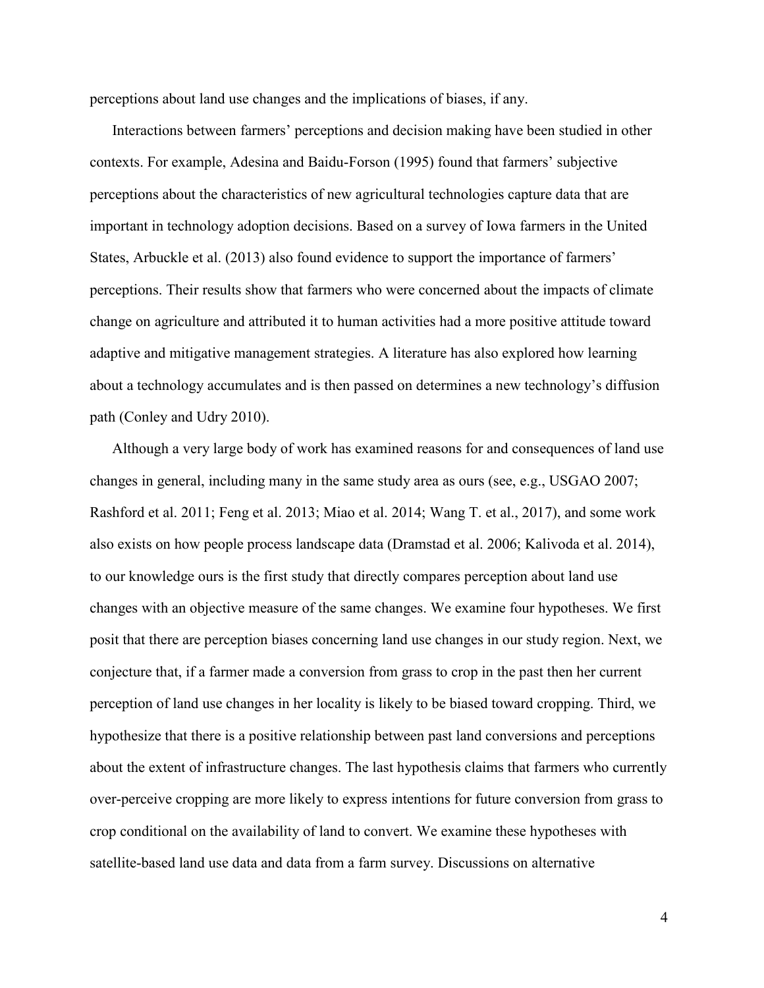perceptions about land use changes and the implications of biases, if any.

Interactions between farmers' perceptions and decision making have been studied in other contexts. For example, Adesina and Baidu-Forson (1995) found that farmers' subjective perceptions about the characteristics of new agricultural technologies capture data that are important in technology adoption decisions. Based on a survey of Iowa farmers in the United States, Arbuckle et al. (2013) also found evidence to support the importance of farmers' perceptions. Their results show that farmers who were concerned about the impacts of climate change on agriculture and attributed it to human activities had a more positive attitude toward adaptive and mitigative management strategies. A literature has also explored how learning about a technology accumulates and is then passed on determines a new technology's diffusion path (Conley and Udry 2010).

Although a very large body of work has examined reasons for and consequences of land use changes in general, including many in the same study area as ours (see, e.g., USGAO 2007; Rashford et al. 2011; Feng et al. 2013; Miao et al. 2014; Wang T. et al., 2017), and some work also exists on how people process landscape data (Dramstad et al. 2006; Kalivoda et al. 2014), to our knowledge ours is the first study that directly compares perception about land use changes with an objective measure of the same changes. We examine four hypotheses. We first posit that there are perception biases concerning land use changes in our study region. Next, we conjecture that, if a farmer made a conversion from grass to crop in the past then her current perception of land use changes in her locality is likely to be biased toward cropping. Third, we hypothesize that there is a positive relationship between past land conversions and perceptions about the extent of infrastructure changes. The last hypothesis claims that farmers who currently over-perceive cropping are more likely to express intentions for future conversion from grass to crop conditional on the availability of land to convert. We examine these hypotheses with satellite-based land use data and data from a farm survey. Discussions on alternative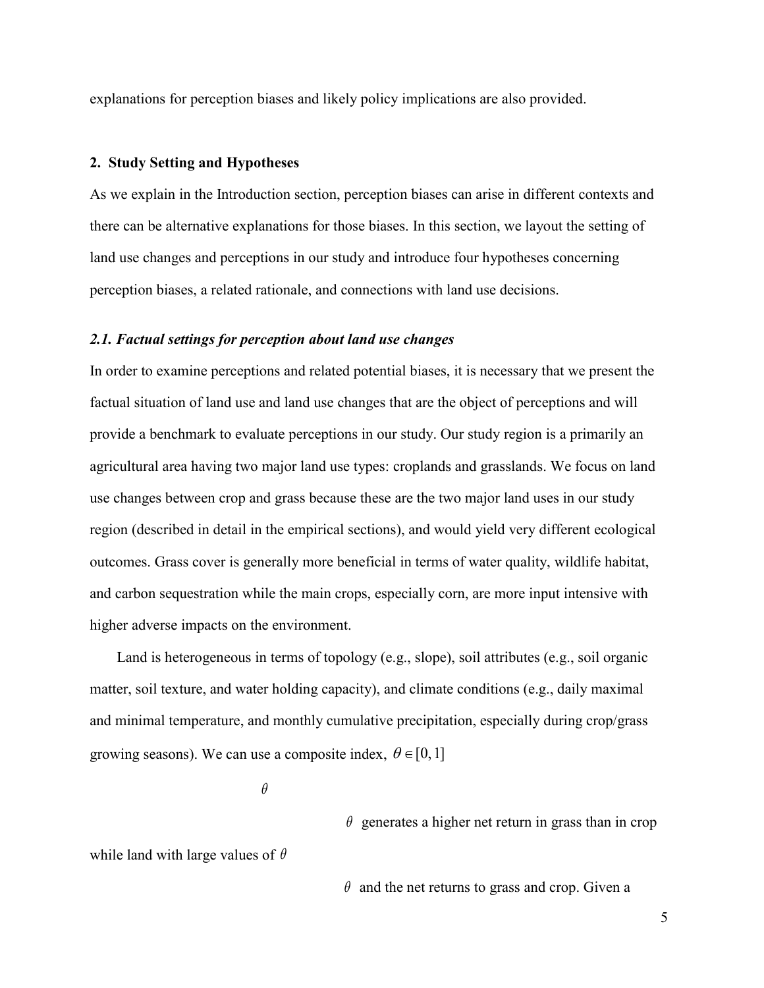explanations for perception biases and likely policy implications are also provided.

#### **2. Study Setting and Hypotheses**

As we explain in the Introduction section, perception biases can arise in different contexts and there can be alternative explanations for those biases. In this section, we layout the setting of land use changes and perceptions in our study and introduce four hypotheses concerning perception biases, a related rationale, and connections with land use decisions.

### *2.1. Factual settings for perception about land use changes*

In order to examine perceptions and related potential biases, it is necessary that we present the factual situation of land use and land use changes that are the object of perceptions and will provide a benchmark to evaluate perceptions in our study. Our study region is a primarily an agricultural area having two major land use types: croplands and grasslands. We focus on land use changes between crop and grass because these are the two major land uses in our study region (described in detail in the empirical sections), and would yield very different ecological outcomes. Grass cover is generally more beneficial in terms of water quality, wildlife habitat, and carbon sequestration while the main crops, especially corn, are more input intensive with higher adverse impacts on the environment.

Land is heterogeneous in terms of topology (e.g., slope), soil attributes (e.g., soil organic matter, soil texture, and water holding capacity), and climate conditions (e.g., daily maximal and minimal temperature, and monthly cumulative precipitation, especially during crop/grass growing seasons). We can use a composite index,  $\theta \in [0,1]$ 

θ

 $\theta$  generates a higher net return in grass than in crop

while land with large values of  $\theta$ 

 $\theta$  and the net returns to grass and crop. Given a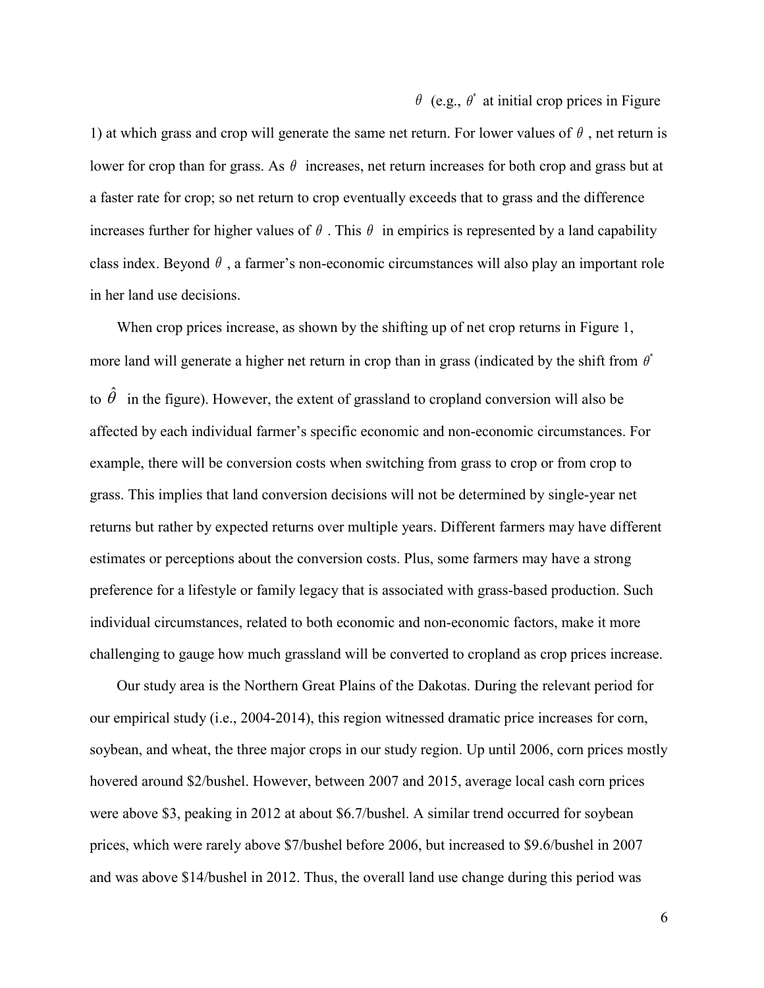$\theta$  (e.g.,  $\theta^*$  at initial crop prices in Figure

1) at which grass and crop will generate the same net return. For lower values of  $\theta$ , net return is lower for crop than for grass. As  $\theta$  increases, net return increases for both crop and grass but at a faster rate for crop; so net return to crop eventually exceeds that to grass and the difference increases further for higher values of  $\theta$ . This  $\theta$  in empirics is represented by a land capability class index. Beyond  $\theta$ , a farmer's non-economic circumstances will also play an important role in her land use decisions.

When crop prices increase, as shown by the shifting up of net crop returns in Figure 1, more land will generate a higher net return in crop than in grass (indicated by the shift from  $\theta^*$ to  $\hat{\theta}$  in the figure). However, the extent of grassland to cropland conversion will also be affected by each individual farmer's specific economic and non-economic circumstances. For example, there will be conversion costs when switching from grass to crop or from crop to grass. This implies that land conversion decisions will not be determined by single-year net returns but rather by expected returns over multiple years. Different farmers may have different estimates or perceptions about the conversion costs. Plus, some farmers may have a strong preference for a lifestyle or family legacy that is associated with grass-based production. Such individual circumstances, related to both economic and non-economic factors, make it more challenging to gauge how much grassland will be converted to cropland as crop prices increase.

Our study area is the Northern Great Plains of the Dakotas. During the relevant period for our empirical study (i.e., 2004-2014), this region witnessed dramatic price increases for corn, soybean, and wheat, the three major crops in our study region. Up until 2006, corn prices mostly hovered around \$2/bushel. However, between 2007 and 2015, average local cash corn prices were above \$3, peaking in 2012 at about \$6.7/bushel. A similar trend occurred for soybean prices, which were rarely above \$7/bushel before 2006, but increased to \$9.6/bushel in 2007 and was above \$14/bushel in 2012. Thus, the overall land use change during this period was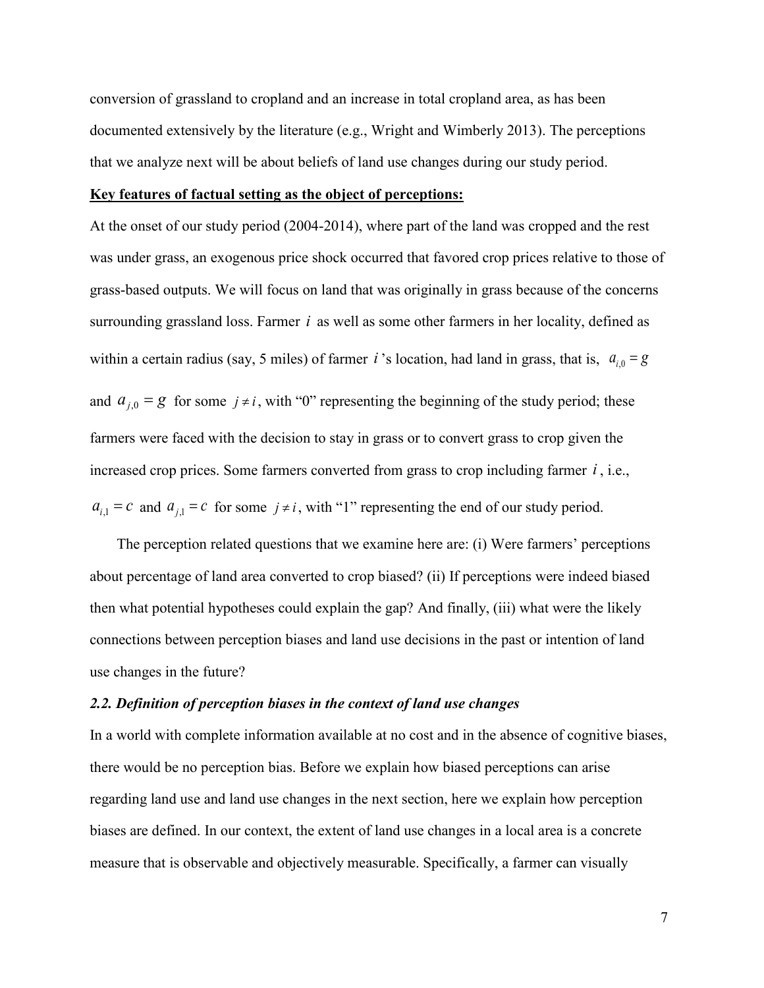conversion of grassland to cropland and an increase in total cropland area, as has been documented extensively by the literature (e.g., Wright and Wimberly 2013). The perceptions that we analyze next will be about beliefs of land use changes during our study period.

### **Key features of factual setting as the object of perceptions:**

At the onset of our study period (2004-2014), where part of the land was cropped and the rest was under grass, an exogenous price shock occurred that favored crop prices relative to those of grass-based outputs. We will focus on land that was originally in grass because of the concerns surrounding grassland loss. Farmer *i* as well as some other farmers in her locality, defined as within a certain radius (say, 5 miles) of farmer *i* 's location, had land in grass, that is,  $a_{i,0} = g$ and  $a_{j,0} = g$  for some  $j \neq i$ , with "0" representing the beginning of the study period; these farmers were faced with the decision to stay in grass or to convert grass to crop given the increased crop prices. Some farmers converted from grass to crop including farmer *i* , i.e.,  $a_{i,1} = c$  and  $a_{j,1} = c$  for some  $j \neq i$ , with "1" representing the end of our study period.

The perception related questions that we examine here are: (i) Were farmers' perceptions about percentage of land area converted to crop biased? (ii) If perceptions were indeed biased then what potential hypotheses could explain the gap? And finally, (iii) what were the likely connections between perception biases and land use decisions in the past or intention of land use changes in the future?

#### *2.2. Definition of perception biases in the context of land use changes*

In a world with complete information available at no cost and in the absence of cognitive biases, there would be no perception bias. Before we explain how biased perceptions can arise regarding land use and land use changes in the next section, here we explain how perception biases are defined. In our context, the extent of land use changes in a local area is a concrete measure that is observable and objectively measurable. Specifically, a farmer can visually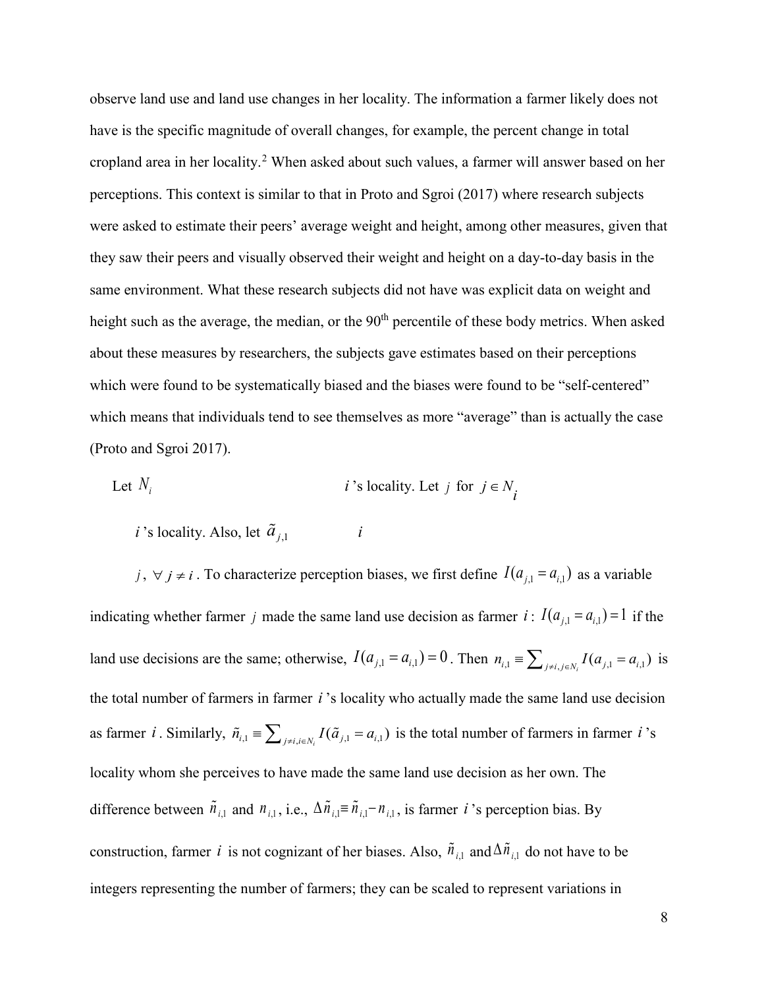observe land use and land use changes in her locality. The information a farmer likely does not have is the specific magnitude of overall changes, for example, the percent change in total cropland area in her locality.<sup>[2](#page-43-1)</sup> When asked about such values, a farmer will answer based on her perceptions. This context is similar to that in Proto and Sgroi (2017) where research subjects were asked to estimate their peers' average weight and height, among other measures, given that they saw their peers and visually observed their weight and height on a day-to-day basis in the same environment. What these research subjects did not have was explicit data on weight and height such as the average, the median, or the  $90<sup>th</sup>$  percentile of these body metrics. When asked about these measures by researchers, the subjects gave estimates based on their perceptions which were found to be systematically biased and the biases were found to be "self-centered" which means that individuals tend to see themselves as more "average" than is actually the case (Proto and Sgroi 2017).

Let 
$$
N_i
$$
 *i*'s locality. Let *j* for  $j \in N_i$ 

*i* 's locality. Also, let  $\tilde{a}_{j,1}$  *i* 

*j*,  $\forall j \neq i$ . To characterize perception biases, we first define  $I(a_{j,1} = a_{i,1})$  as a variable indicating whether farmer *j* made the same land use decision as farmer *i* :  $I(a_{i,1} = a_{i,1}) = 1$  if the land use decisions are the same; otherwise,  $I(a_{j,1} = a_{i,1}) = 0$ . Then  $n_{i,1} = \sum_{j \neq i, j \in N_i} I(a_{j,1} = a_{i,1})$  is the total number of farmers in farmer *i* 's locality who actually made the same land use decision as farmer *i*. Similarly,  $\tilde{n}_{i,1} = \sum_{j \neq i, i \in N_i} I(\tilde{a}_{j,1} = a_{i,1})$  is the total number of farmers in farmer *i*'s locality whom she perceives to have made the same land use decision as her own. The difference between  $\tilde{n}_{i,1}$  and  $n_{i,1}$ , i.e.,  $\Delta \tilde{n}_{i,1} = \tilde{n}_{i,1} - n_{i,1}$ , is farmer *i*'s perception bias. By construction, farmer *i* is not cognizant of her biases. Also,  $\tilde{n}_{i,1}$  and  $\Delta \tilde{n}_{i,1}$  do not have to be integers representing the number of farmers; they can be scaled to represent variations in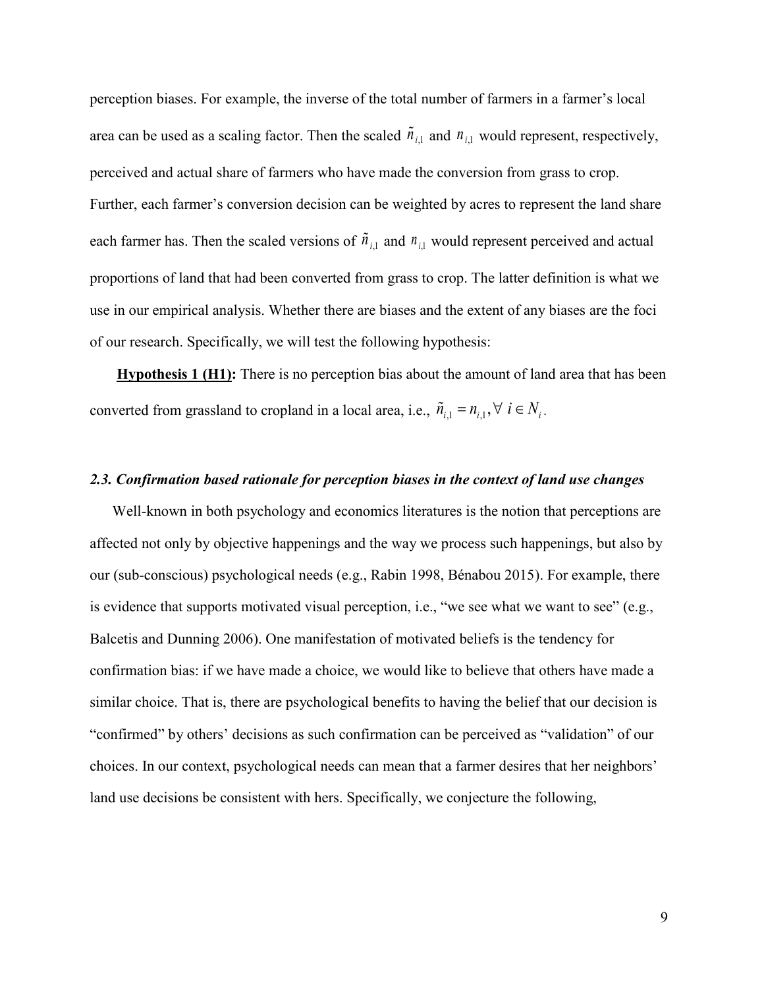perception biases. For example, the inverse of the total number of farmers in a farmer's local area can be used as a scaling factor. Then the scaled  $\tilde{n}_{i,1}$  and  $n_{i,1}$  would represent, respectively, perceived and actual share of farmers who have made the conversion from grass to crop. Further, each farmer's conversion decision can be weighted by acres to represent the land share each farmer has. Then the scaled versions of  $\tilde{n}_{i,1}$  and  $n_{i,1}$  would represent perceived and actual proportions of land that had been converted from grass to crop. The latter definition is what we use in our empirical analysis. Whether there are biases and the extent of any biases are the foci of our research. Specifically, we will test the following hypothesis:

**Hypothesis 1 (H1):** There is no perception bias about the amount of land area that has been converted from grassland to cropland in a local area, i.e.,  $\tilde{n}_{i,1} = n_{i,1}, \forall i \in N_i$ .

#### *2.3. Confirmation based rationale for perception biases in the context of land use changes*

Well-known in both psychology and economics literatures is the notion that perceptions are affected not only by objective happenings and the way we process such happenings, but also by our (sub-conscious) psychological needs (e.g., Rabin 1998, Bénabou 2015). For example, there is evidence that supports motivated visual perception, i.e., "we see what we want to see" (e.g., Balcetis and Dunning 2006). One manifestation of motivated beliefs is the tendency for confirmation bias: if we have made a choice, we would like to believe that others have made a similar choice. That is, there are psychological benefits to having the belief that our decision is "confirmed" by others' decisions as such confirmation can be perceived as "validation" of our choices. In our context, psychological needs can mean that a farmer desires that her neighbors' land use decisions be consistent with hers. Specifically, we conjecture the following,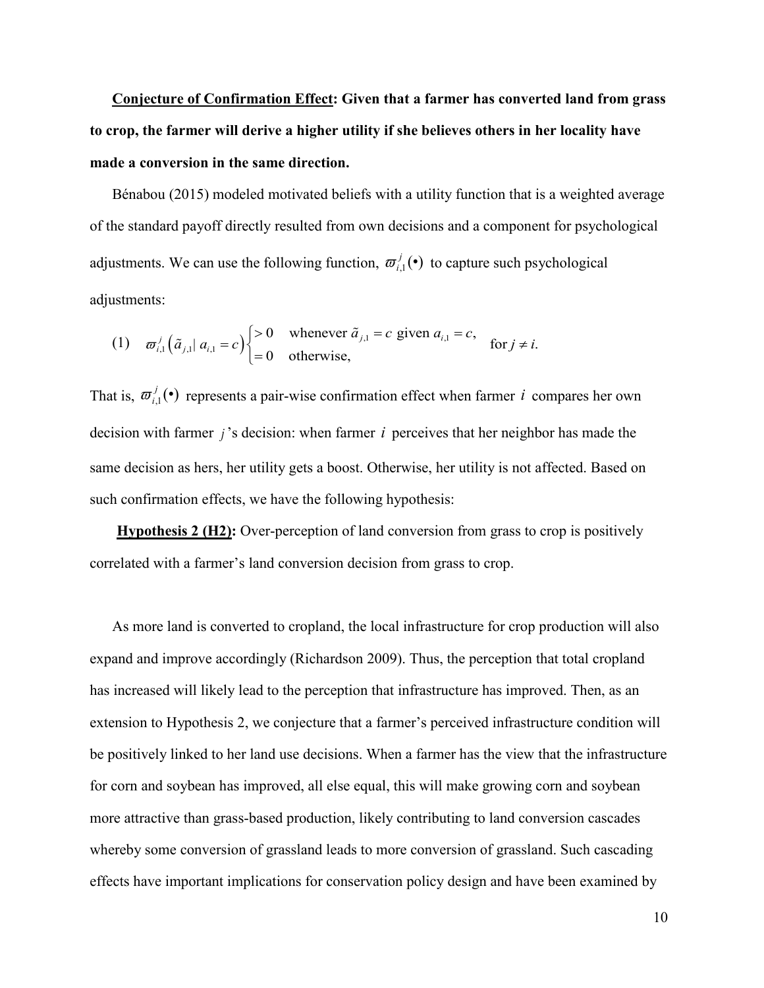**Conjecture of Confirmation Effect: Given that a farmer has converted land from grass to crop, the farmer will derive a higher utility if she believes others in her locality have made a conversion in the same direction.** 

Bénabou (2015) modeled motivated beliefs with a utility function that is a weighted average of the standard payoff directly resulted from own decisions and a component for psychological adjustments. We can use the following function,  $\sigma_{i,1}^j(\cdot)$  to capture such psychological adjustments:

(1) 
$$
\varpi_{i,1}^j(\tilde{a}_{j,1}| a_{i,1} = c) \begin{cases} > 0 & \text{whenever } \tilde{a}_{j,1} = c \text{ given } a_{i,1} = c, \\ = 0 & \text{otherwise,} \end{cases}
$$
 for  $j \neq i$ .

That is,  $\varpi_{i,1}^j(\cdot)$  represents a pair-wise confirmation effect when farmer *i* compares her own decision with farmer *j* 's decision: when farmer *i* perceives that her neighbor has made the same decision as hers, her utility gets a boost. Otherwise, her utility is not affected. Based on such confirmation effects, we have the following hypothesis:

**Hypothesis 2 (H2):** Over-perception of land conversion from grass to crop is positively correlated with a farmer's land conversion decision from grass to crop.

As more land is converted to cropland, the local infrastructure for crop production will also expand and improve accordingly (Richardson 2009). Thus, the perception that total cropland has increased will likely lead to the perception that infrastructure has improved. Then, as an extension to Hypothesis 2, we conjecture that a farmer's perceived infrastructure condition will be positively linked to her land use decisions. When a farmer has the view that the infrastructure for corn and soybean has improved, all else equal, this will make growing corn and soybean more attractive than grass-based production, likely contributing to land conversion cascades whereby some conversion of grassland leads to more conversion of grassland. Such cascading effects have important implications for conservation policy design and have been examined by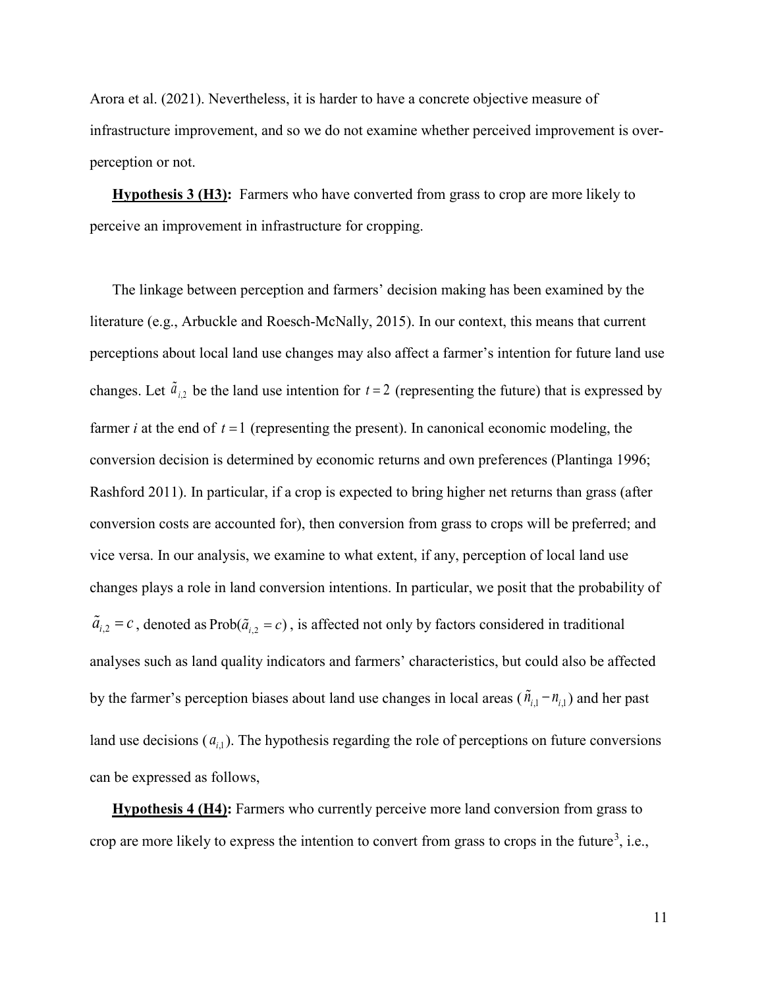Arora et al. (2021). Nevertheless, it is harder to have a concrete objective measure of infrastructure improvement, and so we do not examine whether perceived improvement is overperception or not.

**Hypothesis 3 (H3):** Farmers who have converted from grass to crop are more likely to perceive an improvement in infrastructure for cropping.

The linkage between perception and farmers' decision making has been examined by the literature (e.g., Arbuckle and Roesch-McNally, 2015). In our context, this means that current perceptions about local land use changes may also affect a farmer's intention for future land use changes. Let  $\tilde{a}_{i2}$  be the land use intention for  $t = 2$  (representing the future) that is expressed by farmer *i* at the end of *t* =1 (representing the present). In canonical economic modeling, the conversion decision is determined by economic returns and own preferences (Plantinga 1996; Rashford 2011). In particular, if a crop is expected to bring higher net returns than grass (after conversion costs are accounted for), then conversion from grass to crops will be preferred; and vice versa. In our analysis, we examine to what extent, if any, perception of local land use changes plays a role in land conversion intentions. In particular, we posit that the probability of  $\tilde{a}_{i,2} = c$ , denoted as Prob $(\tilde{a}_{i,2} = c)$ , is affected not only by factors considered in traditional analyses such as land quality indicators and farmers' characteristics, but could also be affected by the farmer's perception biases about land use changes in local areas ( $\tilde{n}_{i,1} - n_{i,1}$ ) and her past land use decisions  $(a_{i,1})$ . The hypothesis regarding the role of perceptions on future conversions can be expressed as follows,

**Hypothesis 4 (H4):** Farmers who currently perceive more land conversion from grass to crop are more likely to express the intention to convert from grass to crops in the future<sup>[3](#page-43-2)</sup>, i.e.,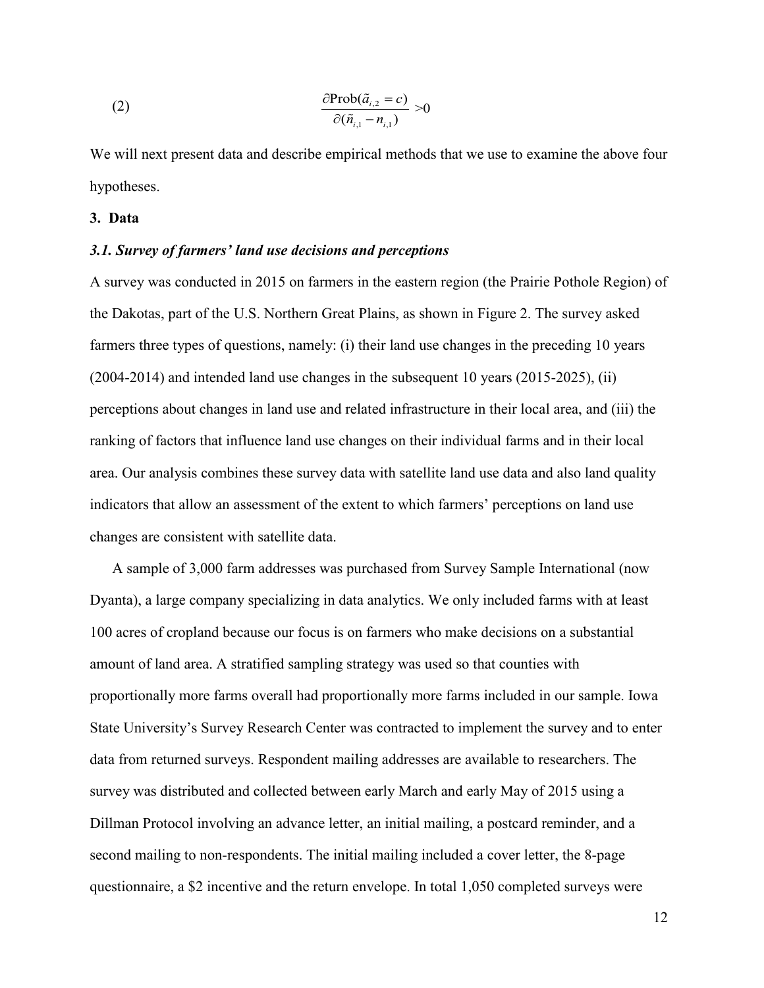(2) 
$$
\frac{\partial \text{Prob}(\tilde{a}_{i,2} = c)}{\partial(\tilde{n}_{i,1} - n_{i,1})} > 0
$$

We will next present data and describe empirical methods that we use to examine the above four hypotheses.

**3. Data**

### *3.1. Survey of farmers' land use decisions and perceptions*

A survey was conducted in 2015 on farmers in the eastern region (the Prairie Pothole Region) of the Dakotas, part of the U.S. Northern Great Plains, as shown in Figure 2. The survey asked farmers three types of questions, namely: (i) their land use changes in the preceding 10 years (2004-2014) and intended land use changes in the subsequent 10 years (2015-2025), (ii) perceptions about changes in land use and related infrastructure in their local area, and (iii) the ranking of factors that influence land use changes on their individual farms and in their local area. Our analysis combines these survey data with satellite land use data and also land quality indicators that allow an assessment of the extent to which farmers' perceptions on land use changes are consistent with satellite data.

A sample of 3,000 farm addresses was purchased from Survey Sample International (now Dyanta), a large company specializing in data analytics. We only included farms with at least 100 acres of cropland because our focus is on farmers who make decisions on a substantial amount of land area. A stratified sampling strategy was used so that counties with proportionally more farms overall had proportionally more farms included in our sample. Iowa State University's Survey Research Center was contracted to implement the survey and to enter data from returned surveys. Respondent mailing addresses are available to researchers. The survey was distributed and collected between early March and early May of 2015 using a Dillman Protocol involving an advance letter, an initial mailing, a postcard reminder, and a second mailing to non-respondents. The initial mailing included a cover letter, the 8-page questionnaire, a \$2 incentive and the return envelope. In total 1,050 completed surveys were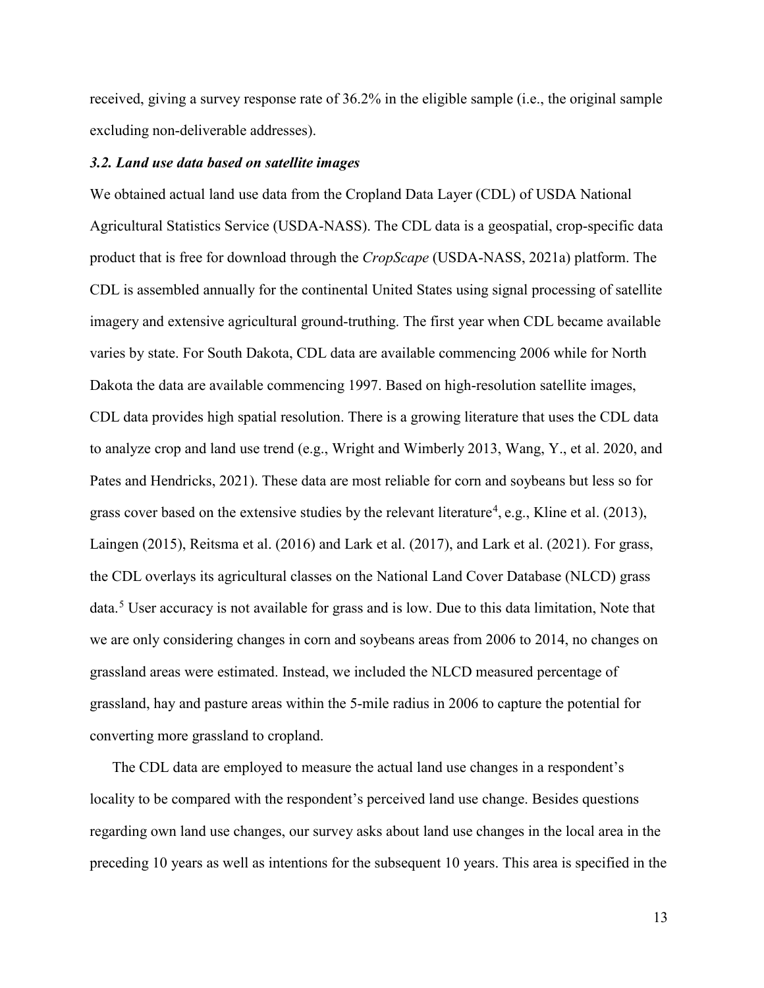received, giving a survey response rate of 36.2% in the eligible sample (i.e., the original sample excluding non-deliverable addresses).

#### *3.2. Land use data based on satellite images*

We obtained actual land use data from the Cropland Data Layer (CDL) of USDA National Agricultural Statistics Service (USDA-NASS). The CDL data is a geospatial, crop-specific data product that is free for download through the *CropScape* (USDA-NASS, 2021a) platform. The CDL is assembled annually for the continental United States using signal processing of satellite imagery and extensive agricultural ground-truthing. The first year when CDL became available varies by state. For South Dakota, CDL data are available commencing 2006 while for North Dakota the data are available commencing 1997. Based on high-resolution satellite images, CDL data provides high spatial resolution. There is a growing literature that uses the CDL data to analyze crop and land use trend (e.g., Wright and Wimberly 2013, Wang, Y., et al. 2020, and Pates and Hendricks, 2021). These data are most reliable for corn and soybeans but less so for grass cover based on the extensive studies by the relevant literature<sup>[4](#page-43-3)</sup>, e.g., Kline et al. (2013), Laingen (2015), Reitsma et al. (2016) and Lark et al. (2017), and Lark et al. (2021). For grass, the CDL overlays its agricultural classes on the National Land Cover Database (NLCD) grass data. [5](#page-43-4) User accuracy is not available for grass and is low. Due to this data limitation, Note that we are only considering changes in corn and soybeans areas from 2006 to 2014, no changes on grassland areas were estimated. Instead, we included the NLCD measured percentage of grassland, hay and pasture areas within the 5-mile radius in 2006 to capture the potential for converting more grassland to cropland.

The CDL data are employed to measure the actual land use changes in a respondent's locality to be compared with the respondent's perceived land use change. Besides questions regarding own land use changes, our survey asks about land use changes in the local area in the preceding 10 years as well as intentions for the subsequent 10 years. This area is specified in the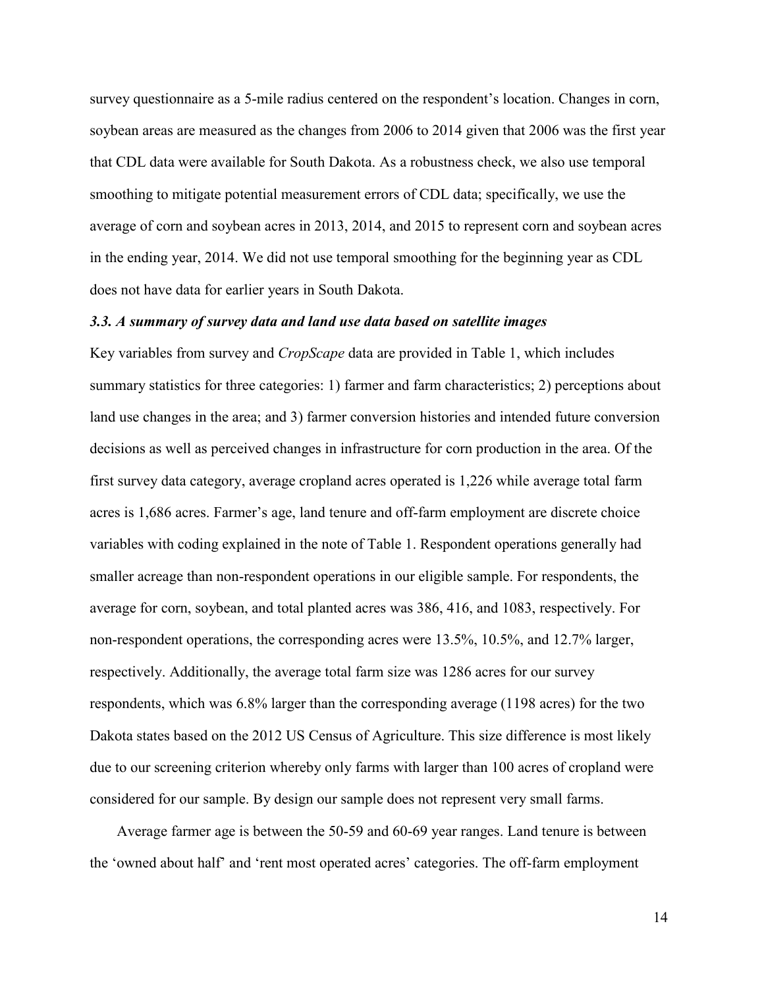survey questionnaire as a 5-mile radius centered on the respondent's location. Changes in corn, soybean areas are measured as the changes from 2006 to 2014 given that 2006 was the first year that CDL data were available for South Dakota. As a robustness check, we also use temporal smoothing to mitigate potential measurement errors of CDL data; specifically, we use the average of corn and soybean acres in 2013, 2014, and 2015 to represent corn and soybean acres in the ending year, 2014. We did not use temporal smoothing for the beginning year as CDL does not have data for earlier years in South Dakota.

#### *3.3. A summary of survey data and land use data based on satellite images*

Key variables from survey and *CropScape* data are provided in Table 1, which includes summary statistics for three categories: 1) farmer and farm characteristics; 2) perceptions about land use changes in the area; and 3) farmer conversion histories and intended future conversion decisions as well as perceived changes in infrastructure for corn production in the area. Of the first survey data category, average cropland acres operated is 1,226 while average total farm acres is 1,686 acres. Farmer's age, land tenure and off-farm employment are discrete choice variables with coding explained in the note of Table 1. Respondent operations generally had smaller acreage than non-respondent operations in our eligible sample. For respondents, the average for corn, soybean, and total planted acres was 386, 416, and 1083, respectively. For non-respondent operations, the corresponding acres were 13.5%, 10.5%, and 12.7% larger, respectively. Additionally, the average total farm size was 1286 acres for our survey respondents, which was 6.8% larger than the corresponding average (1198 acres) for the two Dakota states based on the 2012 US Census of Agriculture. This size difference is most likely due to our screening criterion whereby only farms with larger than 100 acres of cropland were considered for our sample. By design our sample does not represent very small farms.

Average farmer age is between the 50-59 and 60-69 year ranges. Land tenure is between the 'owned about half' and 'rent most operated acres' categories. The off-farm employment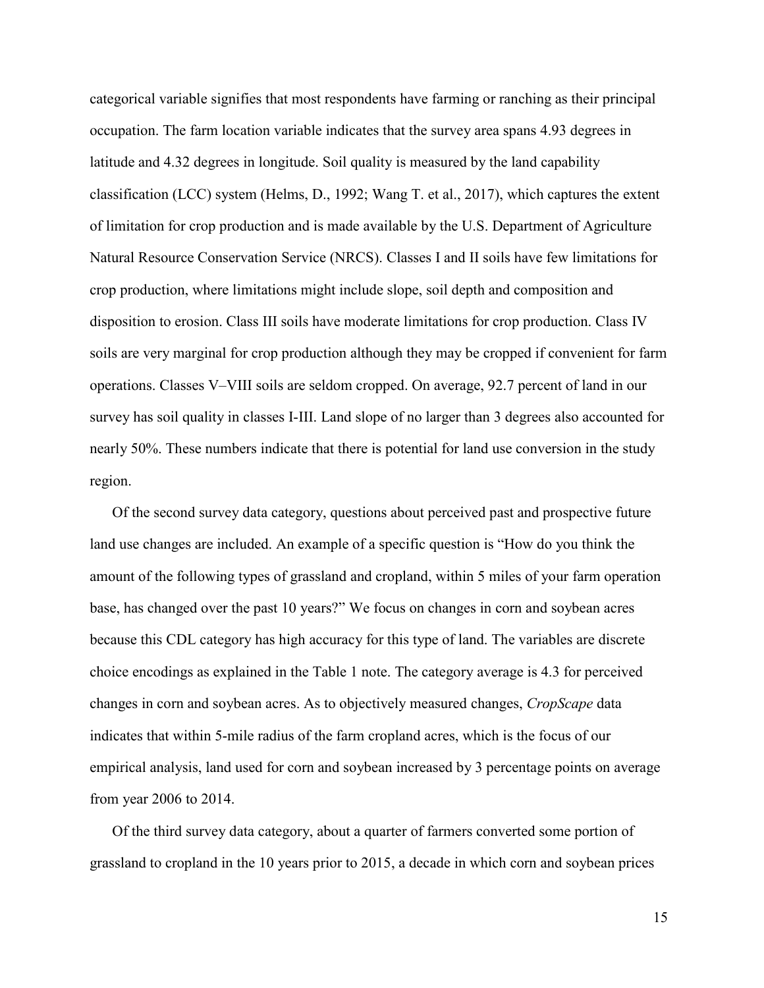categorical variable signifies that most respondents have farming or ranching as their principal occupation. The farm location variable indicates that the survey area spans 4.93 degrees in latitude and 4.32 degrees in longitude. Soil quality is measured by the land capability classification (LCC) system (Helms, D., 1992; Wang T. et al., 2017), which captures the extent of limitation for crop production and is made available by the U.S. Department of Agriculture Natural Resource Conservation Service (NRCS). Classes I and II soils have few limitations for crop production, where limitations might include slope, soil depth and composition and disposition to erosion. Class III soils have moderate limitations for crop production. Class IV soils are very marginal for crop production although they may be cropped if convenient for farm operations. Classes V–VIII soils are seldom cropped. On average, 92.7 percent of land in our survey has soil quality in classes I-III. Land slope of no larger than 3 degrees also accounted for nearly 50%. These numbers indicate that there is potential for land use conversion in the study region.

Of the second survey data category, questions about perceived past and prospective future land use changes are included. An example of a specific question is "How do you think the amount of the following types of grassland and cropland, within 5 miles of your farm operation base, has changed over the past 10 years?" We focus on changes in corn and soybean acres because this CDL category has high accuracy for this type of land. The variables are discrete choice encodings as explained in the Table 1 note. The category average is 4.3 for perceived changes in corn and soybean acres. As to objectively measured changes, *CropScape* data indicates that within 5-mile radius of the farm cropland acres, which is the focus of our empirical analysis, land used for corn and soybean increased by 3 percentage points on average from year 2006 to 2014.

Of the third survey data category, about a quarter of farmers converted some portion of grassland to cropland in the 10 years prior to 2015, a decade in which corn and soybean prices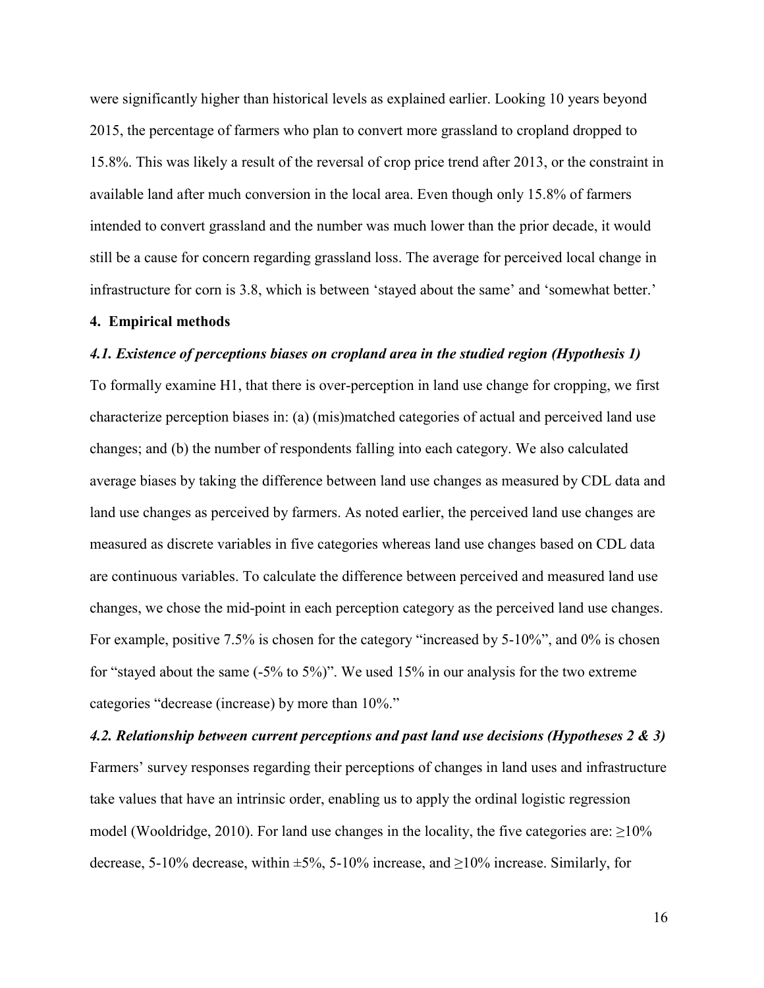were significantly higher than historical levels as explained earlier. Looking 10 years beyond 2015, the percentage of farmers who plan to convert more grassland to cropland dropped to 15.8%. This was likely a result of the reversal of crop price trend after 2013, or the constraint in available land after much conversion in the local area. Even though only 15.8% of farmers intended to convert grassland and the number was much lower than the prior decade, it would still be a cause for concern regarding grassland loss. The average for perceived local change in infrastructure for corn is 3.8, which is between 'stayed about the same' and 'somewhat better.'

#### **4. Empirical methods**

#### *4.1. Existence of perceptions biases on cropland area in the studied region (Hypothesis 1)*

To formally examine H1, that there is over-perception in land use change for cropping, we first characterize perception biases in: (a) (mis)matched categories of actual and perceived land use changes; and (b) the number of respondents falling into each category. We also calculated average biases by taking the difference between land use changes as measured by CDL data and land use changes as perceived by farmers. As noted earlier, the perceived land use changes are measured as discrete variables in five categories whereas land use changes based on CDL data are continuous variables. To calculate the difference between perceived and measured land use changes, we chose the mid-point in each perception category as the perceived land use changes. For example, positive 7.5% is chosen for the category "increased by 5-10%", and 0% is chosen for "stayed about the same (-5% to 5%)". We used 15% in our analysis for the two extreme categories "decrease (increase) by more than 10%."

### *4.2. Relationship between current perceptions and past land use decisions (Hypotheses 2 & 3)*

Farmers' survey responses regarding their perceptions of changes in land uses and infrastructure take values that have an intrinsic order, enabling us to apply the ordinal logistic regression model (Wooldridge, 2010). For land use changes in the locality, the five categories are:  $\geq$ 10% decrease, 5-10% decrease, within  $\pm 5\%$ , 5-10% increase, and  $\geq 10\%$  increase. Similarly, for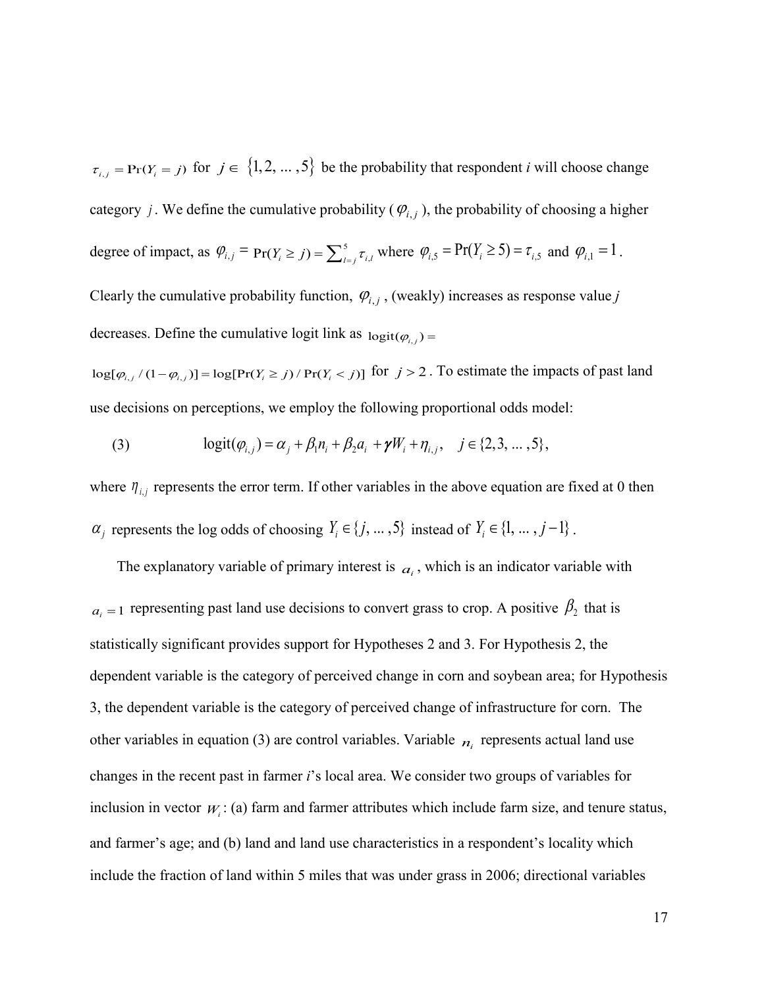$\tau_{i,j} = \Pr(Y_i = j)$  for  $j \in \{1, 2, ..., 5\}$  be the probability that respondent *i* will choose change category *j*. We define the cumulative probability ( $\varphi$ <sub>*i, j*</sub>), the probability of choosing a higher degree of impact, as  $\varphi_{i,j} = \Pr(Y_i \ge j) = \sum_{i=j}^{5} \tau_{i,i}$  where  $\varphi_{i,5} = \Pr(Y_i \ge 5) = \tau_{i,5}$  and  $\varphi_{i,1} = 1$ .

Clearly the cumulative probability function,  $\varphi_{i,j}$ , (weakly) increases as response value *j* decreases. Define the cumulative logit link as  $logit(\varphi_{i,j}) =$ 

 $log[\varphi_{i,j} / (1 - \varphi_{i,j})] = log[Pr(Y_i \ge j) / Pr(Y_i < j)]$  for  $j > 2$ . To estimate the impacts of past land use decisions on perceptions, we employ the following proportional odds model:

(3) 
$$
\text{logit}(\varphi_{i,j}) = \alpha_j + \beta_1 n_i + \beta_2 a_i + \gamma W_i + \eta_{i,j}, \quad j \in \{2, 3, ..., 5\},
$$

where  $\eta_{i,j}$  represents the error term. If other variables in the above equation are fixed at 0 then  $\alpha_j$  represents the log odds of choosing  $Y_i \in \{j, ..., 5\}$  instead of  $Y_i \in \{1, ..., j-1\}$ .

The explanatory variable of primary interest is  $a_i$ , which is an indicator variable with  $a_i = 1$  representing past land use decisions to convert grass to crop. A positive  $\beta_2$  that is statistically significant provides support for Hypotheses 2 and 3. For Hypothesis 2, the dependent variable is the category of perceived change in corn and soybean area; for Hypothesis 3, the dependent variable is the category of perceived change of infrastructure for corn. The other variables in equation (3) are control variables. Variable  $n_i$  represents actual land use changes in the recent past in farmer *i*'s local area. We consider two groups of variables for inclusion in vector  $W_i$ : (a) farm and farmer attributes which include farm size, and tenure status, and farmer's age; and (b) land and land use characteristics in a respondent's locality which include the fraction of land within 5 miles that was under grass in 2006; directional variables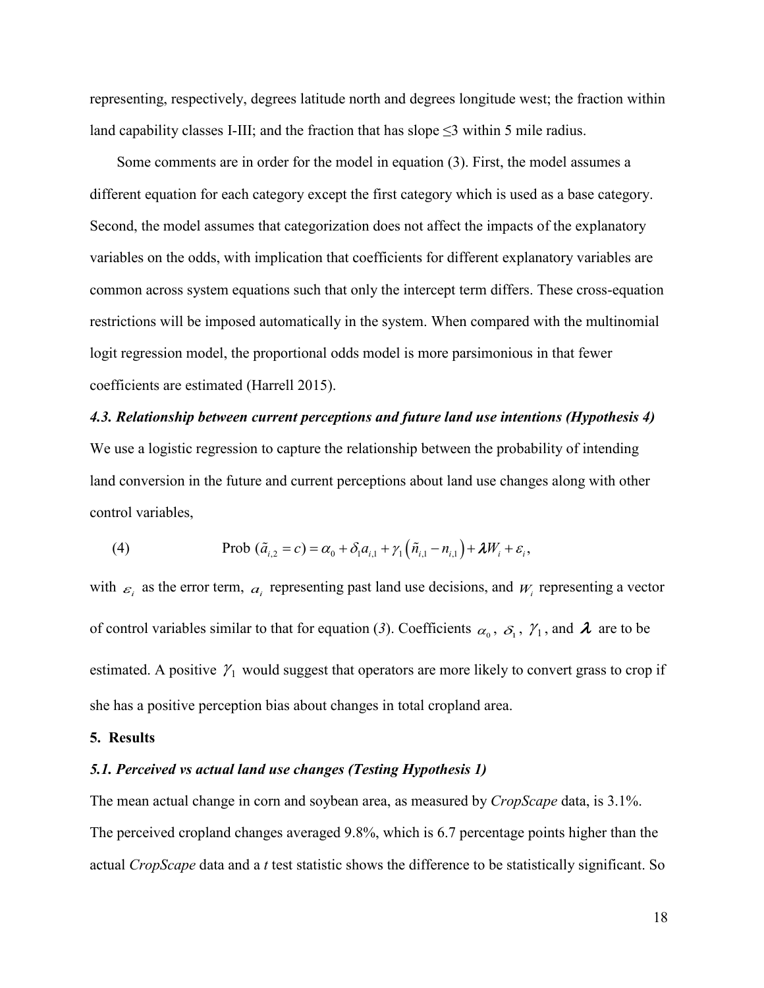representing, respectively, degrees latitude north and degrees longitude west; the fraction within land capability classes I-III; and the fraction that has slope  $\leq$ 3 within 5 mile radius.

Some comments are in order for the model in equation (3). First, the model assumes a different equation for each category except the first category which is used as a base category. Second, the model assumes that categorization does not affect the impacts of the explanatory variables on the odds, with implication that coefficients for different explanatory variables are common across system equations such that only the intercept term differs. These cross-equation restrictions will be imposed automatically in the system. When compared with the multinomial logit regression model, the proportional odds model is more parsimonious in that fewer coefficients are estimated (Harrell 2015).

# *4.3. Relationship between current perceptions and future land use intentions (Hypothesis 4)* We use a logistic regression to capture the relationship between the probability of intending land conversion in the future and current perceptions about land use changes along with other control variables,

(4) Prob 
$$
(\tilde{a}_{i,2} = c) = \alpha_0 + \delta_1 a_{i,1} + \gamma_1 (\tilde{n}_{i,1} - n_{i,1}) + \lambda W_i + \varepsilon_i
$$
,

with  $\epsilon_i$  as the error term,  $a_i$  representing past land use decisions, and  $W_i$  representing a vector of control variables similar to that for equation (3). Coefficients  $\alpha_0$ ,  $\delta_1$ ,  $\gamma_1$ , and  $\lambda$  are to be estimated. A positive  $\gamma_1$  would suggest that operators are more likely to convert grass to crop if she has a positive perception bias about changes in total cropland area.

#### **5. Results**

#### *5.1. Perceived vs actual land use changes (Testing Hypothesis 1)*

The mean actual change in corn and soybean area, as measured by *CropScape* data, is 3.1%. The perceived cropland changes averaged 9.8%, which is 6.7 percentage points higher than the actual *CropScape* data and a *t* test statistic shows the difference to be statistically significant. So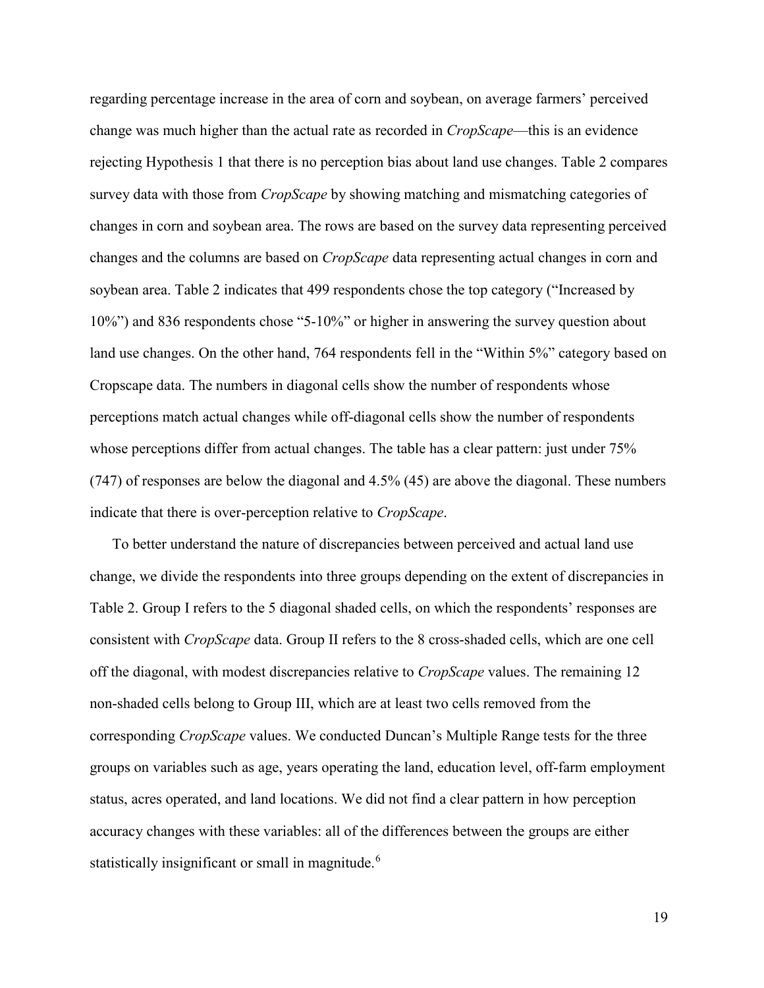regarding percentage increase in the area of corn and soybean, on average farmers' perceived change was much higher than the actual rate as recorded in *CropScape*—this is an evidence rejecting Hypothesis 1 that there is no perception bias about land use changes. Table 2 compares survey data with those from *CropScape* by showing matching and mismatching categories of changes in corn and soybean area. The rows are based on the survey data representing perceived changes and the columns are based on *CropScape* data representing actual changes in corn and soybean area. Table 2 indicates that 499 respondents chose the top category ("Increased by 10%") and 836 respondents chose "5-10%" or higher in answering the survey question about land use changes. On the other hand, 764 respondents fell in the "Within 5%" category based on Cropscape data. The numbers in diagonal cells show the number of respondents whose perceptions match actual changes while off-diagonal cells show the number of respondents whose perceptions differ from actual changes. The table has a clear pattern: just under 75% (747) of responses are below the diagonal and 4.5% (45) are above the diagonal. These numbers indicate that there is over-perception relative to *CropScape*.

To better understand the nature of discrepancies between perceived and actual land use change, we divide the respondents into three groups depending on the extent of discrepancies in Table 2. Group I refers to the 5 diagonal shaded cells, on which the respondents' responses are consistent with *CropScape* data. Group II refers to the 8 cross-shaded cells, which are one cell off the diagonal, with modest discrepancies relative to *CropScape* values. The remaining 12 non-shaded cells belong to Group III, which are at least two cells removed from the corresponding *CropScape* values. We conducted Duncan's Multiple Range tests for the three groups on variables such as age, years operating the land, education level, off-farm employment status, acres operated, and land locations. We did not find a clear pattern in how perception accuracy changes with these variables: all of the differences between the groups are either statistically insignificant or small in magnitude.<sup>[6](#page-43-5)</sup>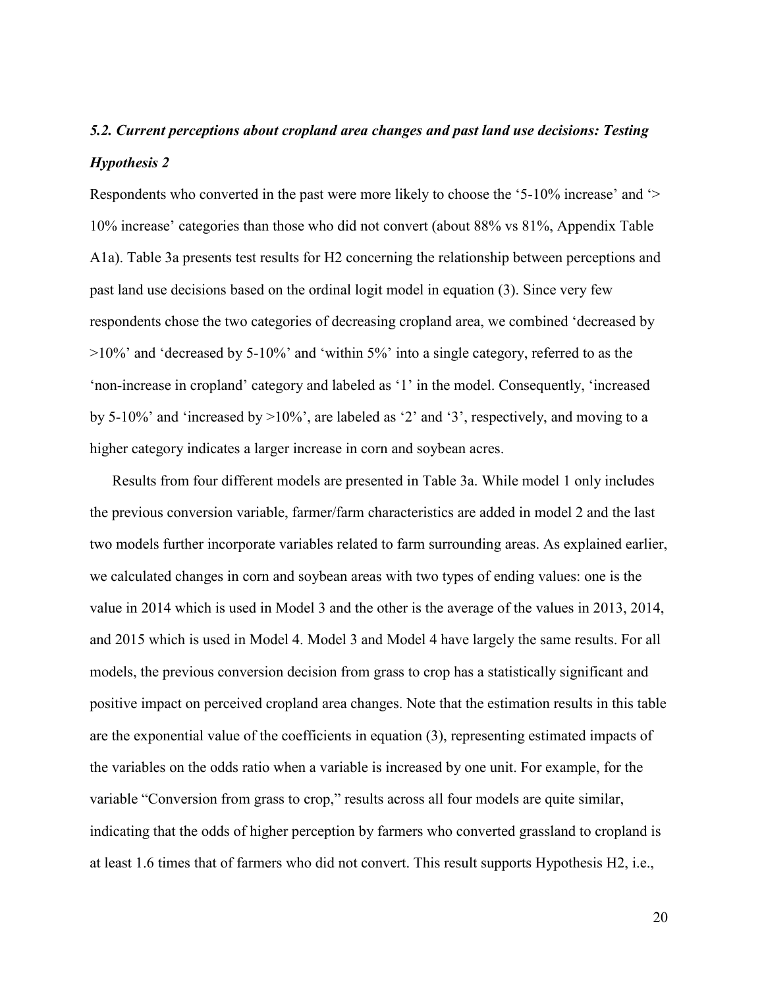# *5.2. Current perceptions about cropland area changes and past land use decisions: Testing Hypothesis 2*

Respondents who converted in the past were more likely to choose the '5-10% increase' and '> 10% increase' categories than those who did not convert (about 88% vs 81%, Appendix Table A1a). Table 3a presents test results for H2 concerning the relationship between perceptions and past land use decisions based on the ordinal logit model in equation (3). Since very few respondents chose the two categories of decreasing cropland area, we combined 'decreased by >10%' and 'decreased by 5-10%' and 'within 5%' into a single category, referred to as the 'non-increase in cropland' category and labeled as '1' in the model. Consequently, 'increased by 5-10%' and 'increased by  $>10\%$ ', are labeled as '2' and '3', respectively, and moving to a higher category indicates a larger increase in corn and soybean acres.

Results from four different models are presented in Table 3a. While model 1 only includes the previous conversion variable, farmer/farm characteristics are added in model 2 and the last two models further incorporate variables related to farm surrounding areas. As explained earlier, we calculated changes in corn and soybean areas with two types of ending values: one is the value in 2014 which is used in Model 3 and the other is the average of the values in 2013, 2014, and 2015 which is used in Model 4. Model 3 and Model 4 have largely the same results. For all models, the previous conversion decision from grass to crop has a statistically significant and positive impact on perceived cropland area changes. Note that the estimation results in this table are the exponential value of the coefficients in equation (3), representing estimated impacts of the variables on the odds ratio when a variable is increased by one unit. For example, for the variable "Conversion from grass to crop," results across all four models are quite similar, indicating that the odds of higher perception by farmers who converted grassland to cropland is at least 1.6 times that of farmers who did not convert. This result supports Hypothesis H2, i.e.,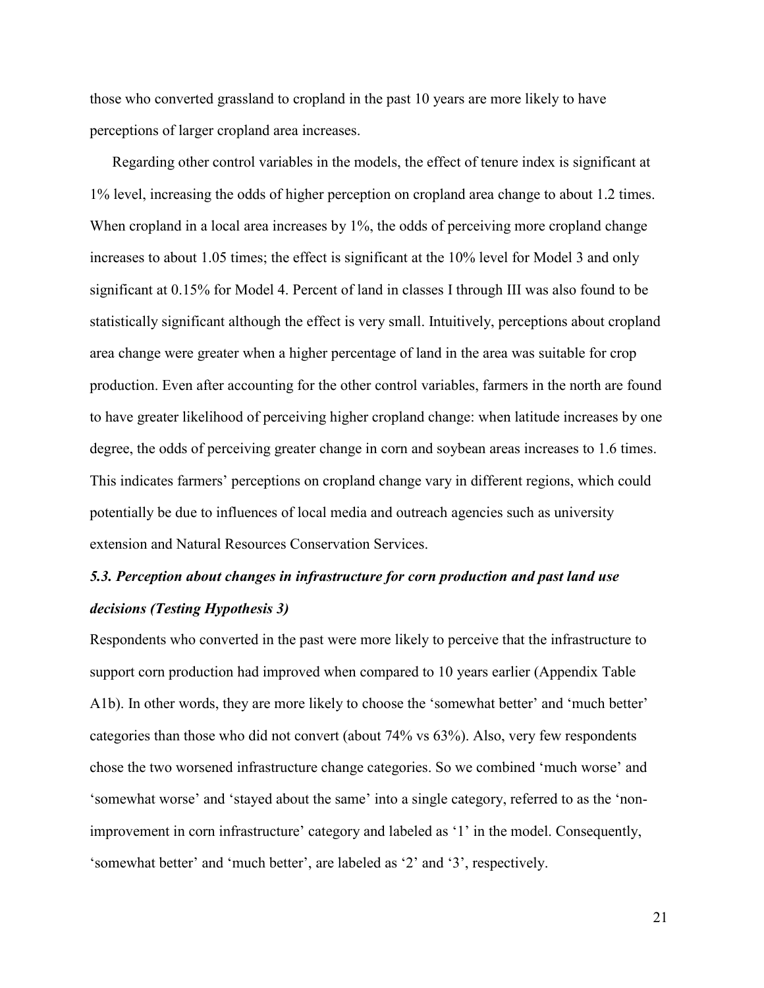those who converted grassland to cropland in the past 10 years are more likely to have perceptions of larger cropland area increases.

Regarding other control variables in the models, the effect of tenure index is significant at 1% level, increasing the odds of higher perception on cropland area change to about 1.2 times. When cropland in a local area increases by 1%, the odds of perceiving more cropland change increases to about 1.05 times; the effect is significant at the 10% level for Model 3 and only significant at 0.15% for Model 4. Percent of land in classes I through III was also found to be statistically significant although the effect is very small. Intuitively, perceptions about cropland area change were greater when a higher percentage of land in the area was suitable for crop production. Even after accounting for the other control variables, farmers in the north are found to have greater likelihood of perceiving higher cropland change: when latitude increases by one degree, the odds of perceiving greater change in corn and soybean areas increases to 1.6 times. This indicates farmers' perceptions on cropland change vary in different regions, which could potentially be due to influences of local media and outreach agencies such as university extension and Natural Resources Conservation Services.

# *5.3. Perception about changes in infrastructure for corn production and past land use decisions (Testing Hypothesis 3)*

Respondents who converted in the past were more likely to perceive that the infrastructure to support corn production had improved when compared to 10 years earlier (Appendix Table A1b). In other words, they are more likely to choose the 'somewhat better' and 'much better' categories than those who did not convert (about 74% vs 63%). Also, very few respondents chose the two worsened infrastructure change categories. So we combined 'much worse' and 'somewhat worse' and 'stayed about the same' into a single category, referred to as the 'nonimprovement in corn infrastructure' category and labeled as '1' in the model. Consequently, 'somewhat better' and 'much better', are labeled as '2' and '3', respectively.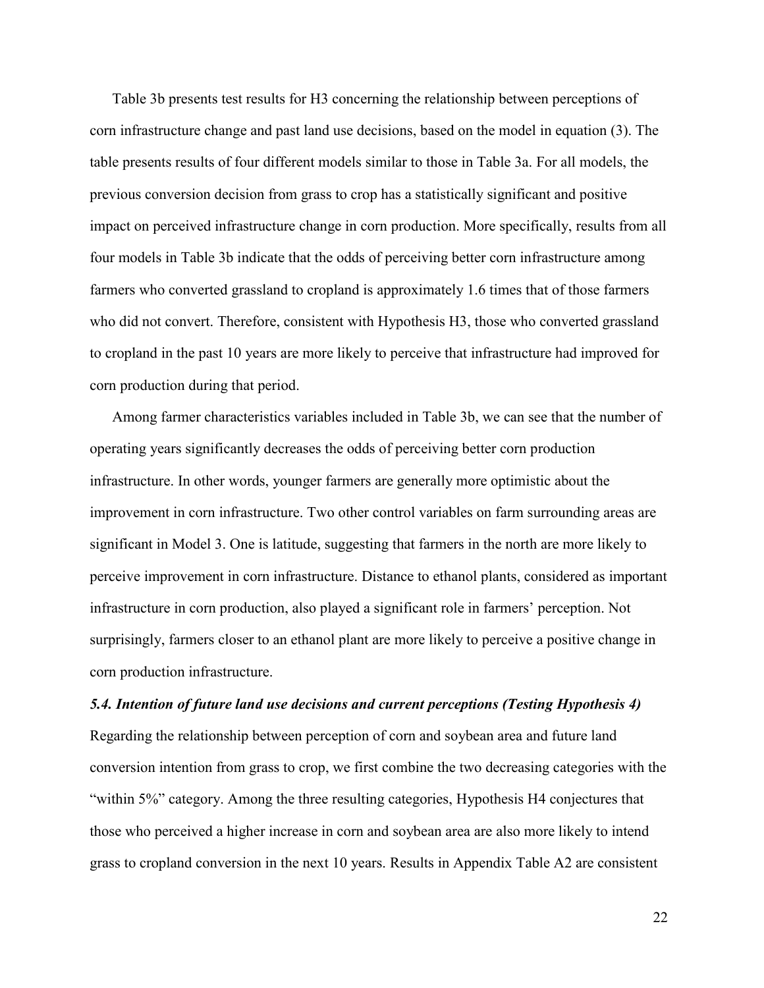Table 3b presents test results for H3 concerning the relationship between perceptions of corn infrastructure change and past land use decisions, based on the model in equation (3). The table presents results of four different models similar to those in Table 3a. For all models, the previous conversion decision from grass to crop has a statistically significant and positive impact on perceived infrastructure change in corn production. More specifically, results from all four models in Table 3b indicate that the odds of perceiving better corn infrastructure among farmers who converted grassland to cropland is approximately 1.6 times that of those farmers who did not convert. Therefore, consistent with Hypothesis H3, those who converted grassland to cropland in the past 10 years are more likely to perceive that infrastructure had improved for corn production during that period.

Among farmer characteristics variables included in Table 3b, we can see that the number of operating years significantly decreases the odds of perceiving better corn production infrastructure. In other words, younger farmers are generally more optimistic about the improvement in corn infrastructure. Two other control variables on farm surrounding areas are significant in Model 3. One is latitude, suggesting that farmers in the north are more likely to perceive improvement in corn infrastructure. Distance to ethanol plants, considered as important infrastructure in corn production, also played a significant role in farmers' perception. Not surprisingly, farmers closer to an ethanol plant are more likely to perceive a positive change in corn production infrastructure.

#### *5.4. Intention of future land use decisions and current perceptions (Testing Hypothesis 4)*

Regarding the relationship between perception of corn and soybean area and future land conversion intention from grass to crop, we first combine the two decreasing categories with the "within 5%" category. Among the three resulting categories, Hypothesis H4 conjectures that those who perceived a higher increase in corn and soybean area are also more likely to intend grass to cropland conversion in the next 10 years. Results in Appendix Table A2 are consistent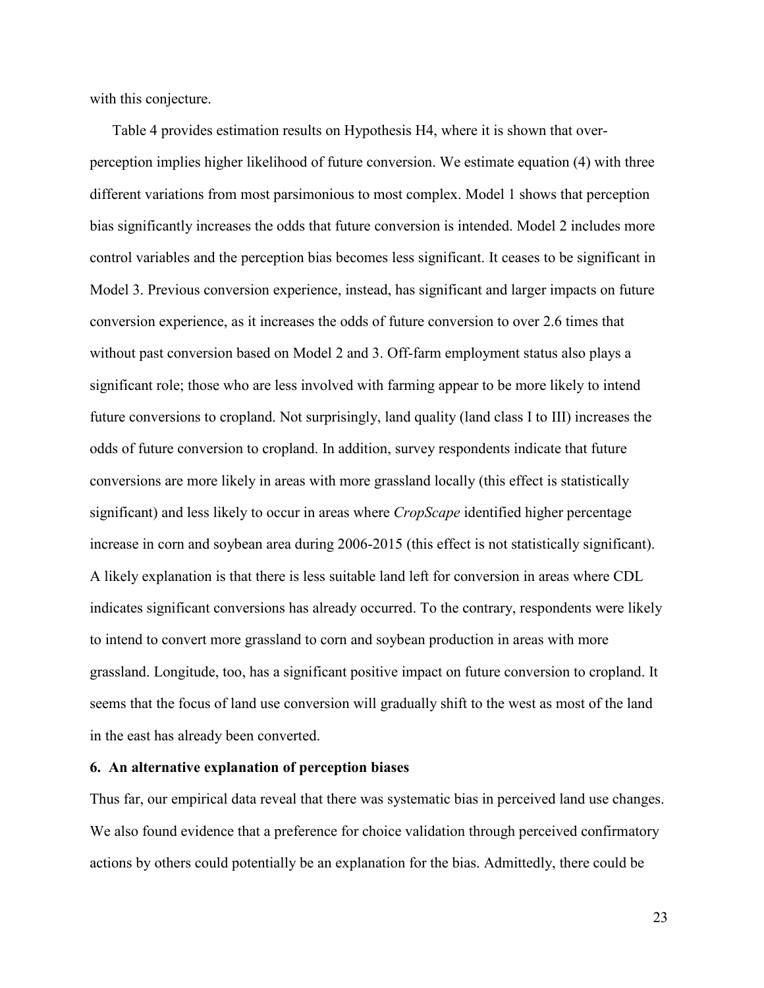with this conjecture.

Table 4 provides estimation results on Hypothesis H4, where it is shown that overperception implies higher likelihood of future conversion. We estimate equation (4) with three different variations from most parsimonious to most complex. Model 1 shows that perception bias significantly increases the odds that future conversion is intended. Model 2 includes more control variables and the perception bias becomes less significant. It ceases to be significant in Model 3. Previous conversion experience, instead, has significant and larger impacts on future conversion experience, as it increases the odds of future conversion to over 2.6 times that without past conversion based on Model 2 and 3. Off-farm employment status also plays a significant role; those who are less involved with farming appear to be more likely to intend future conversions to cropland. Not surprisingly, land quality (land class I to III) increases the odds of future conversion to cropland. In addition, survey respondents indicate that future conversions are more likely in areas with more grassland locally (this effect is statistically significant) and less likely to occur in areas where *CropScape* identified higher percentage increase in corn and soybean area during 2006-2015 (this effect is not statistically significant). A likely explanation is that there is less suitable land left for conversion in areas where CDL indicates significant conversions has already occurred. To the contrary, respondents were likely to intend to convert more grassland to corn and soybean production in areas with more grassland. Longitude, too, has a significant positive impact on future conversion to cropland. It seems that the focus of land use conversion will gradually shift to the west as most of the land in the east has already been converted.

## **6. An alternative explanation of perception biases**

Thus far, our empirical data reveal that there was systematic bias in perceived land use changes. We also found evidence that a preference for choice validation through perceived confirmatory actions by others could potentially be an explanation for the bias. Admittedly, there could be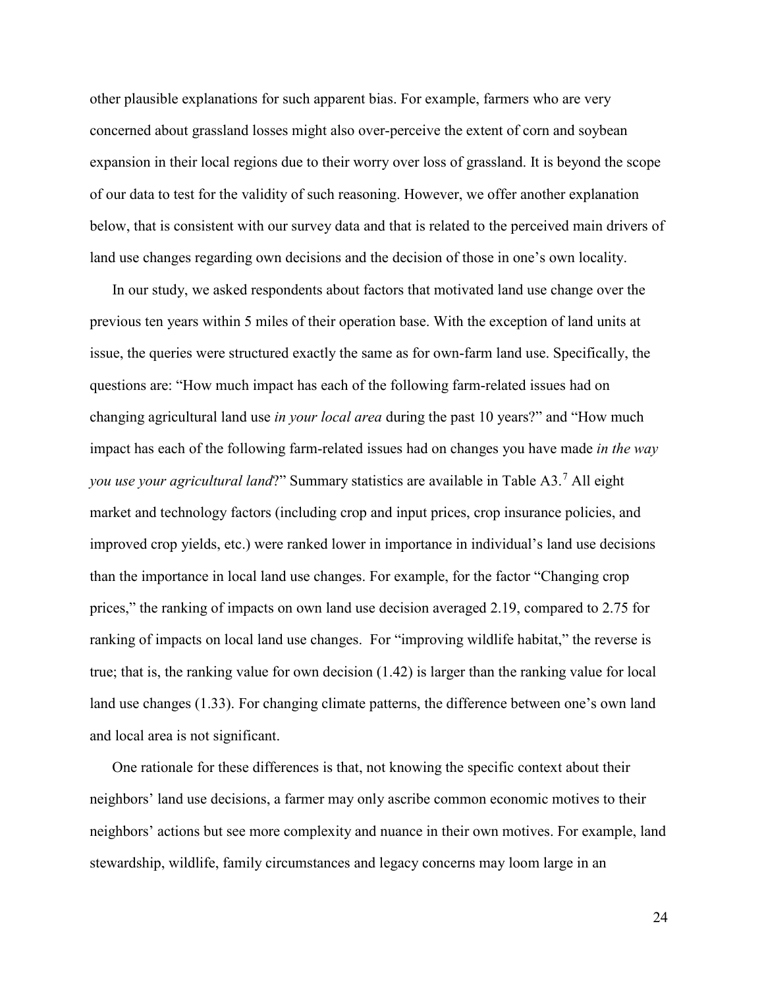other plausible explanations for such apparent bias. For example, farmers who are very concerned about grassland losses might also over-perceive the extent of corn and soybean expansion in their local regions due to their worry over loss of grassland. It is beyond the scope of our data to test for the validity of such reasoning. However, we offer another explanation below, that is consistent with our survey data and that is related to the perceived main drivers of land use changes regarding own decisions and the decision of those in one's own locality.

In our study, we asked respondents about factors that motivated land use change over the previous ten years within 5 miles of their operation base. With the exception of land units at issue, the queries were structured exactly the same as for own-farm land use. Specifically, the questions are: "How much impact has each of the following farm-related issues had on changing agricultural land use *in your local area* during the past 10 years?" and "How much impact has each of the following farm-related issues had on changes you have made *in the way you use your agricultural land*?" Summary statistics are available in Table A3. [7](#page-43-6) All eight market and technology factors (including crop and input prices, crop insurance policies, and improved crop yields, etc.) were ranked lower in importance in individual's land use decisions than the importance in local land use changes. For example, for the factor "Changing crop prices," the ranking of impacts on own land use decision averaged 2.19, compared to 2.75 for ranking of impacts on local land use changes. For "improving wildlife habitat," the reverse is true; that is, the ranking value for own decision (1.42) is larger than the ranking value for local land use changes (1.33). For changing climate patterns, the difference between one's own land and local area is not significant.

One rationale for these differences is that, not knowing the specific context about their neighbors' land use decisions, a farmer may only ascribe common economic motives to their neighbors' actions but see more complexity and nuance in their own motives. For example, land stewardship, wildlife, family circumstances and legacy concerns may loom large in an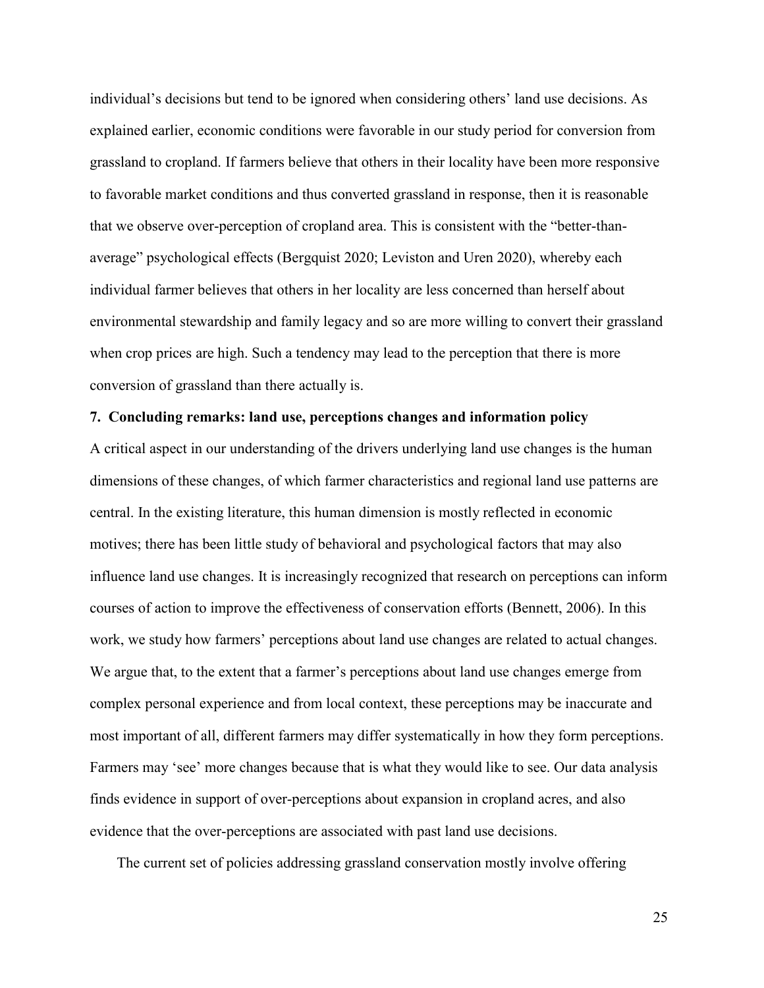individual's decisions but tend to be ignored when considering others' land use decisions. As explained earlier, economic conditions were favorable in our study period for conversion from grassland to cropland. If farmers believe that others in their locality have been more responsive to favorable market conditions and thus converted grassland in response, then it is reasonable that we observe over-perception of cropland area. This is consistent with the "better-thanaverage" psychological effects (Bergquist 2020; Leviston and Uren 2020), whereby each individual farmer believes that others in her locality are less concerned than herself about environmental stewardship and family legacy and so are more willing to convert their grassland when crop prices are high. Such a tendency may lead to the perception that there is more conversion of grassland than there actually is.

#### **7. Concluding remarks: land use, perceptions changes and information policy**

A critical aspect in our understanding of the drivers underlying land use changes is the human dimensions of these changes, of which farmer characteristics and regional land use patterns are central. In the existing literature, this human dimension is mostly reflected in economic motives; there has been little study of behavioral and psychological factors that may also influence land use changes. It is increasingly recognized that research on perceptions can inform courses of action to improve the effectiveness of conservation efforts (Bennett, 2006). In this work, we study how farmers' perceptions about land use changes are related to actual changes. We argue that, to the extent that a farmer's perceptions about land use changes emerge from complex personal experience and from local context, these perceptions may be inaccurate and most important of all, different farmers may differ systematically in how they form perceptions. Farmers may 'see' more changes because that is what they would like to see. Our data analysis finds evidence in support of over-perceptions about expansion in cropland acres, and also evidence that the over-perceptions are associated with past land use decisions.

The current set of policies addressing grassland conservation mostly involve offering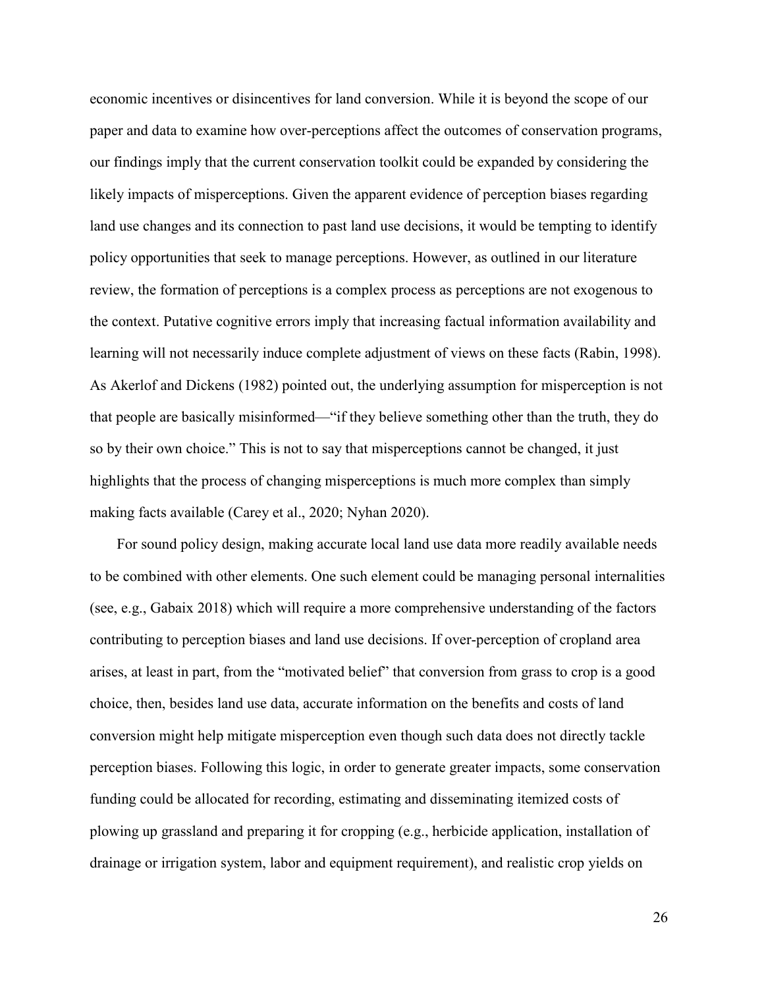economic incentives or disincentives for land conversion. While it is beyond the scope of our paper and data to examine how over-perceptions affect the outcomes of conservation programs, our findings imply that the current conservation toolkit could be expanded by considering the likely impacts of misperceptions. Given the apparent evidence of perception biases regarding land use changes and its connection to past land use decisions, it would be tempting to identify policy opportunities that seek to manage perceptions. However, as outlined in our literature review, the formation of perceptions is a complex process as perceptions are not exogenous to the context. Putative cognitive errors imply that increasing factual information availability and learning will not necessarily induce complete adjustment of views on these facts (Rabin, 1998). As Akerlof and Dickens (1982) pointed out, the underlying assumption for misperception is not that people are basically misinformed—"if they believe something other than the truth, they do so by their own choice." This is not to say that misperceptions cannot be changed, it just highlights that the process of changing misperceptions is much more complex than simply making facts available (Carey et al., 2020; Nyhan 2020).

For sound policy design, making accurate local land use data more readily available needs to be combined with other elements. One such element could be managing personal internalities (see, e.g., Gabaix 2018) which will require a more comprehensive understanding of the factors contributing to perception biases and land use decisions. If over-perception of cropland area arises, at least in part, from the "motivated belief" that conversion from grass to crop is a good choice, then, besides land use data, accurate information on the benefits and costs of land conversion might help mitigate misperception even though such data does not directly tackle perception biases. Following this logic, in order to generate greater impacts, some conservation funding could be allocated for recording, estimating and disseminating itemized costs of plowing up grassland and preparing it for cropping (e.g., herbicide application, installation of drainage or irrigation system, labor and equipment requirement), and realistic crop yields on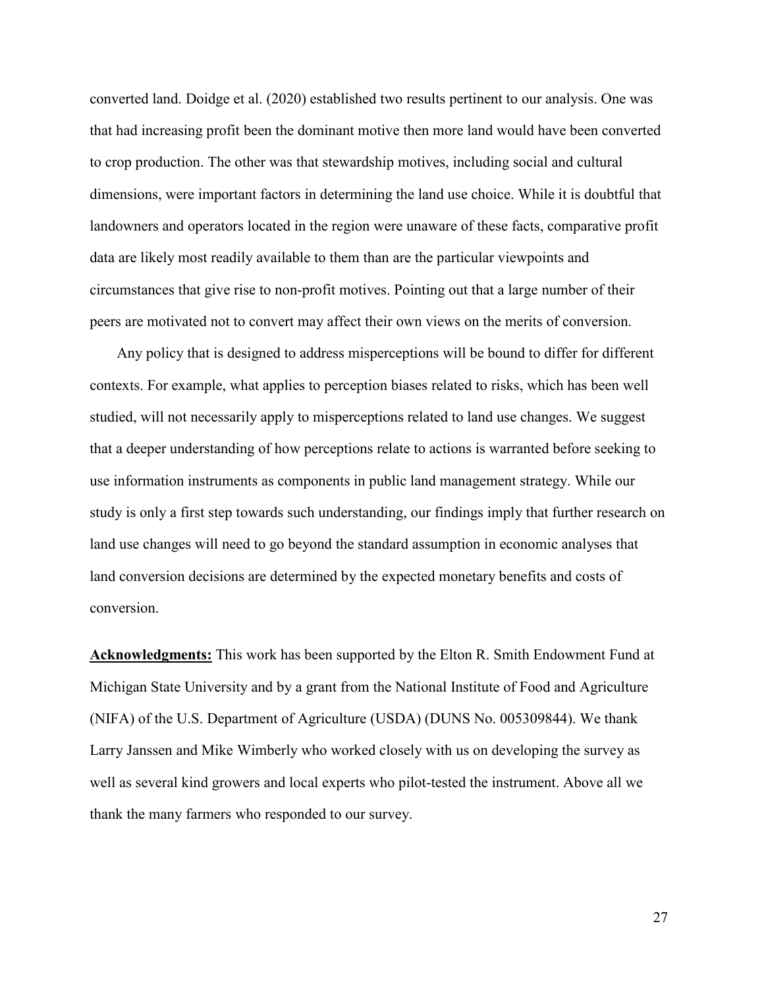converted land. Doidge et al. (2020) established two results pertinent to our analysis. One was that had increasing profit been the dominant motive then more land would have been converted to crop production. The other was that stewardship motives, including social and cultural dimensions, were important factors in determining the land use choice. While it is doubtful that landowners and operators located in the region were unaware of these facts, comparative profit data are likely most readily available to them than are the particular viewpoints and circumstances that give rise to non-profit motives. Pointing out that a large number of their peers are motivated not to convert may affect their own views on the merits of conversion.

Any policy that is designed to address misperceptions will be bound to differ for different contexts. For example, what applies to perception biases related to risks, which has been well studied, will not necessarily apply to misperceptions related to land use changes. We suggest that a deeper understanding of how perceptions relate to actions is warranted before seeking to use information instruments as components in public land management strategy. While our study is only a first step towards such understanding, our findings imply that further research on land use changes will need to go beyond the standard assumption in economic analyses that land conversion decisions are determined by the expected monetary benefits and costs of conversion.

**Acknowledgments:** This work has been supported by the Elton R. Smith Endowment Fund at Michigan State University and by a grant from the National Institute of Food and Agriculture (NIFA) of the U.S. Department of Agriculture (USDA) (DUNS No. 005309844). We thank Larry Janssen and Mike Wimberly who worked closely with us on developing the survey as well as several kind growers and local experts who pilot-tested the instrument. Above all we thank the many farmers who responded to our survey.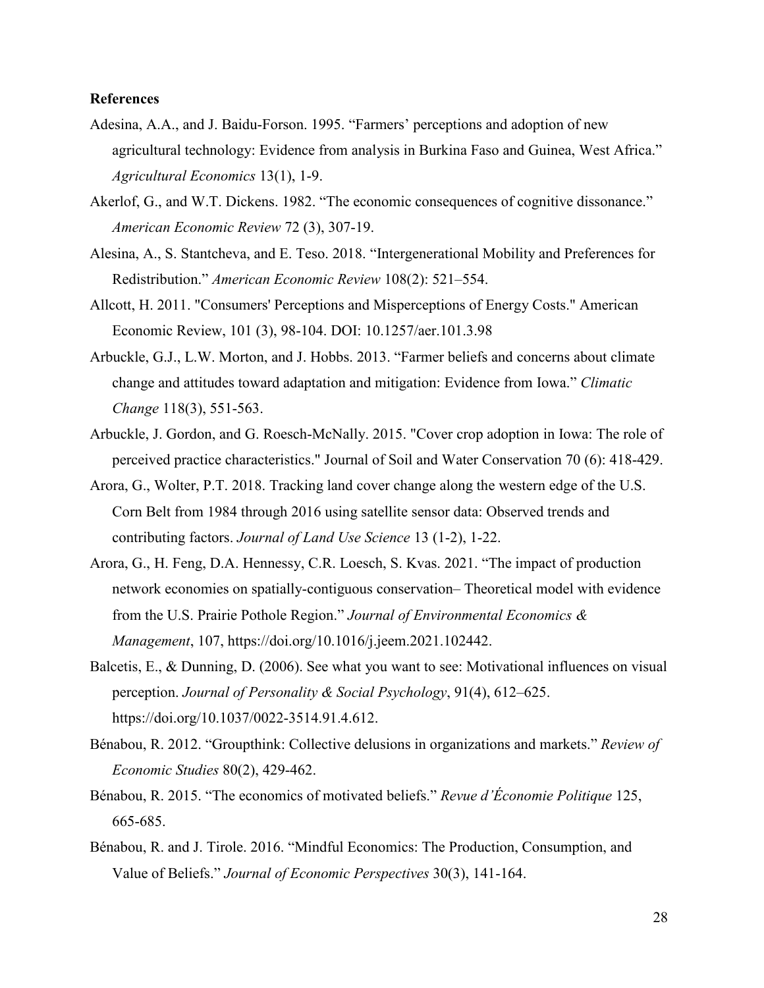### **References**

- Adesina, A.A., and J. Baidu-Forson. 1995. "Farmers' perceptions and adoption of new agricultural technology: Evidence from analysis in Burkina Faso and Guinea, West Africa." *Agricultural Economics* 13(1), 1-9.
- Akerlof, G., and W.T. Dickens. 1982. "The economic consequences of cognitive dissonance." *American Economic Review* 72 (3), 307-19.
- Alesina, A., S. Stantcheva, and E. Teso. 2018. "Intergenerational Mobility and Preferences for Redistribution." *American Economic Review* 108(2): 521–554.
- Allcott, H. 2011. "Consumers' Perceptions and Misperceptions of Energy Costs." American Economic Review, 101 (3), 98-104. DOI: 10.1257/aer.101.3.98
- Arbuckle, G.J., L.W. Morton, and J. Hobbs. 2013. "Farmer beliefs and concerns about climate change and attitudes toward adaptation and mitigation: Evidence from Iowa." *Climatic Change* 118(3), 551-563.
- Arbuckle, J. Gordon, and G. Roesch-McNally. 2015. "Cover crop adoption in Iowa: The role of perceived practice characteristics." Journal of Soil and Water Conservation 70 (6): 418-429.
- Arora, G., Wolter, P.T. 2018. Tracking land cover change along the western edge of the U.S. Corn Belt from 1984 through 2016 using satellite sensor data: Observed trends and contributing factors. *Journal of Land Use Science* 13 (1-2), 1-22.
- Arora, G., H. Feng, D.A. Hennessy, C.R. Loesch, S. Kvas. 2021. "The impact of production network economies on spatially-contiguous conservation– Theoretical model with evidence from the U.S. Prairie Pothole Region." *Journal of Environmental Economics & Management*, 107, https://doi.org/10.1016/j.jeem.2021.102442.
- Balcetis, E., & Dunning, D. (2006). See what you want to see: Motivational influences on visual perception. *Journal of Personality & Social Psychology*, 91(4), 612–625. https://doi.org/10.1037/0022-3514.91.4.612.
- Bénabou, R. 2012. "Groupthink: Collective delusions in organizations and markets." *Review of Economic Studies* 80(2), 429-462.
- Bénabou, R. 2015. "The economics of motivated beliefs." *Revue d'Économie Politique* 125, 665-685.
- Bénabou, R. and J. Tirole. 2016. "Mindful Economics: The Production, Consumption, and Value of Beliefs." *Journal of Economic Perspectives* 30(3), 141-164.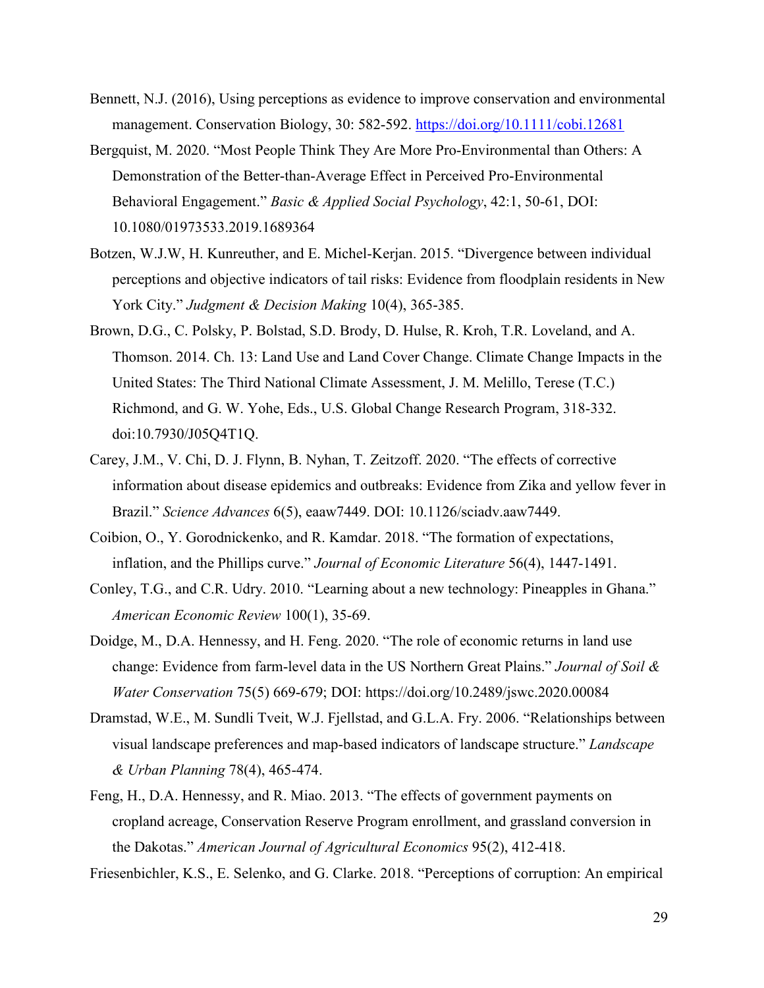- Bennett, N.J. (2016), Using perceptions as evidence to improve conservation and environmental management. Conservation Biology, 30: 582-592.<https://doi.org/10.1111/cobi.12681>
- Bergquist, M. 2020. "Most People Think They Are More Pro-Environmental than Others: A Demonstration of the Better-than-Average Effect in Perceived Pro-Environmental Behavioral Engagement." *Basic & Applied Social Psychology*, 42:1, 50-61, DOI: 10.1080/01973533.2019.1689364
- Botzen, W.J.W, H. Kunreuther, and E. Michel-Kerjan. 2015. "Divergence between individual perceptions and objective indicators of tail risks: Evidence from floodplain residents in New York City." *Judgment & Decision Making* 10(4), 365-385.
- Brown, D.G., C. Polsky, P. Bolstad, S.D. Brody, D. Hulse, R. Kroh, T.R. Loveland, and A. Thomson. 2014. Ch. 13: Land Use and Land Cover Change. Climate Change Impacts in the United States: The Third National Climate Assessment, J. M. Melillo, Terese (T.C.) Richmond, and G. W. Yohe, Eds., U.S. Global Change Research Program, 318-332. doi:10.7930/J05Q4T1Q.
- Carey, J.M., V. Chi, D. J. Flynn, B. Nyhan, T. Zeitzoff. 2020. "The effects of corrective information about disease epidemics and outbreaks: Evidence from Zika and yellow fever in Brazil." *Science Advances* 6(5), eaaw7449. DOI: 10.1126/sciadv.aaw7449.
- Coibion, O., Y. Gorodnickenko, and R. Kamdar. 2018. "The formation of expectations, inflation, and the Phillips curve." *Journal of Economic Literature* 56(4), 1447-1491.
- Conley, T.G., and C.R. Udry. 2010. "Learning about a new technology: Pineapples in Ghana." *American Economic Review* 100(1), 35-69.
- Doidge, M., D.A. Hennessy, and H. Feng. 2020. "The role of economic returns in land use change: Evidence from farm-level data in the US Northern Great Plains." *Journal of Soil & Water Conservation* 75(5) 669-679; DOI: https://doi.org/10.2489/jswc.2020.00084
- Dramstad, W.E., M. Sundli Tveit, W.J. Fjellstad, and G.L.A. Fry. 2006. "Relationships between visual landscape preferences and map-based indicators of landscape structure." *Landscape & Urban Planning* 78(4), 465-474.
- Feng, H., D.A. Hennessy, and R. Miao. 2013. "The effects of government payments on cropland acreage, Conservation Reserve Program enrollment, and grassland conversion in the Dakotas." *American Journal of Agricultural Economics* 95(2), 412-418.

Friesenbichler, K.S., E. Selenko, and G. Clarke. 2018. "Perceptions of corruption: An empirical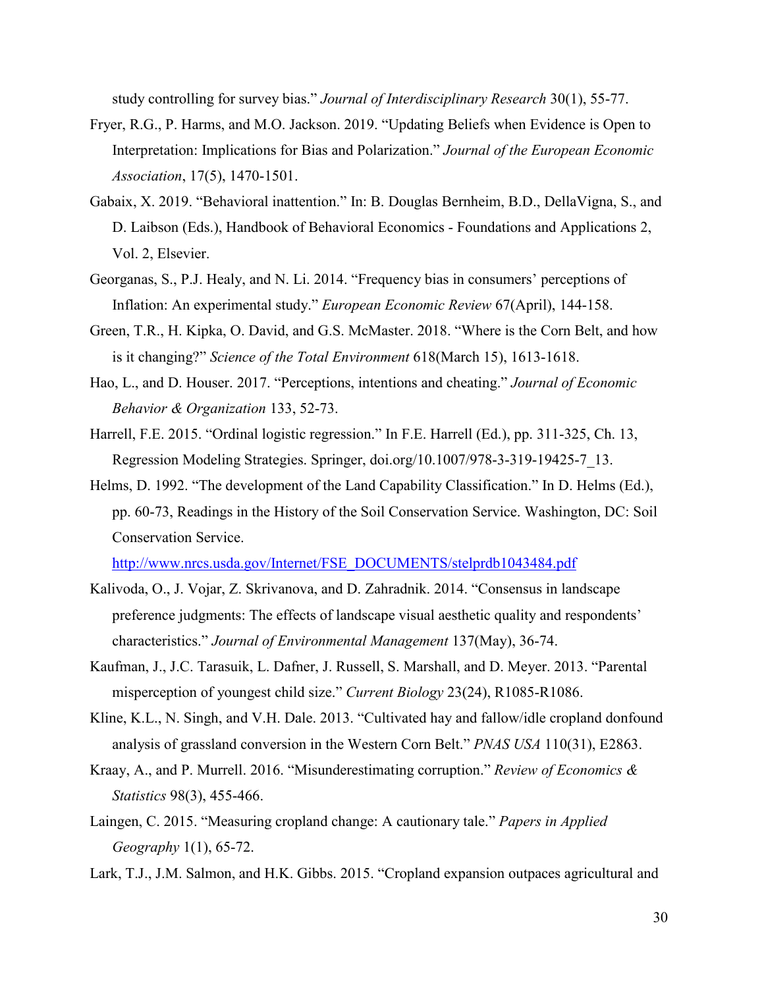study controlling for survey bias." *Journal of Interdisciplinary Research* 30(1), 55-77.

- Fryer, R.G., P. Harms, and M.O. Jackson. 2019. "Updating Beliefs when Evidence is Open to Interpretation: Implications for Bias and Polarization." *Journal of the European Economic Association*, 17(5), 1470-1501.
- Gabaix, X. 2019. "Behavioral inattention." In: B. Douglas Bernheim, B.D., DellaVigna, S., and D. Laibson (Eds.), Handbook of Behavioral Economics - Foundations and Applications 2, Vol. 2, Elsevier.
- Georganas, S., P.J. Healy, and N. Li. 2014. "Frequency bias in consumers' perceptions of Inflation: An experimental study." *European Economic Review* 67(April), 144-158.
- Green, T.R., H. Kipka, O. David, and G.S. McMaster. 2018. "Where is the Corn Belt, and how is it changing?" *Science of the Total Environment* 618(March 15), 1613-1618.
- Hao, L., and D. Houser. 2017. "Perceptions, intentions and cheating." *Journal of Economic Behavior & Organization* 133, 52-73.
- Harrell, F.E. 2015. "Ordinal logistic regression." In F.E. Harrell (Ed.), pp. 311-325, Ch. 13, Regression Modeling Strategies. Springer, doi.org/10.1007/978-3-319-19425-7\_13.
- Helms, D. 1992. "The development of the Land Capability Classification." In D. Helms (Ed.), pp. 60-73, Readings in the History of the Soil Conservation Service. Washington, DC: Soil Conservation Service.

[http://www.nrcs.usda.gov/Internet/FSE\\_DOCUMENTS/stelprdb1043484.pdf](http://www.nrcs.usda.gov/Internet/FSE_DOCUMENTS/stelprdb1043484.pdf)

- Kalivoda, O., J. Vojar, Z. Skrivanova, and D. Zahradnik. 2014. "Consensus in landscape preference judgments: The effects of landscape visual aesthetic quality and respondents' characteristics." *Journal of Environmental Management* 137(May), 36-74.
- Kaufman, J., J.C. Tarasuik, L. Dafner, J. Russell, S. Marshall, and D. Meyer. 2013. "Parental misperception of youngest child size." *Current Biology* 23(24), R1085-R1086.
- Kline, K.L., N. Singh, and V.H. Dale. 2013. "Cultivated hay and fallow/idle cropland donfound analysis of grassland conversion in the Western Corn Belt." *PNAS USA* 110(31), E2863.
- Kraay, A., and P. Murrell. 2016. "Misunderestimating corruption." *Review of Economics & Statistics* 98(3), 455-466.
- Laingen, C. 2015. "Measuring cropland change: A cautionary tale." *Papers in Applied Geography* 1(1), 65-72.
- Lark, T.J., J.M. Salmon, and H.K. Gibbs. 2015. "Cropland expansion outpaces agricultural and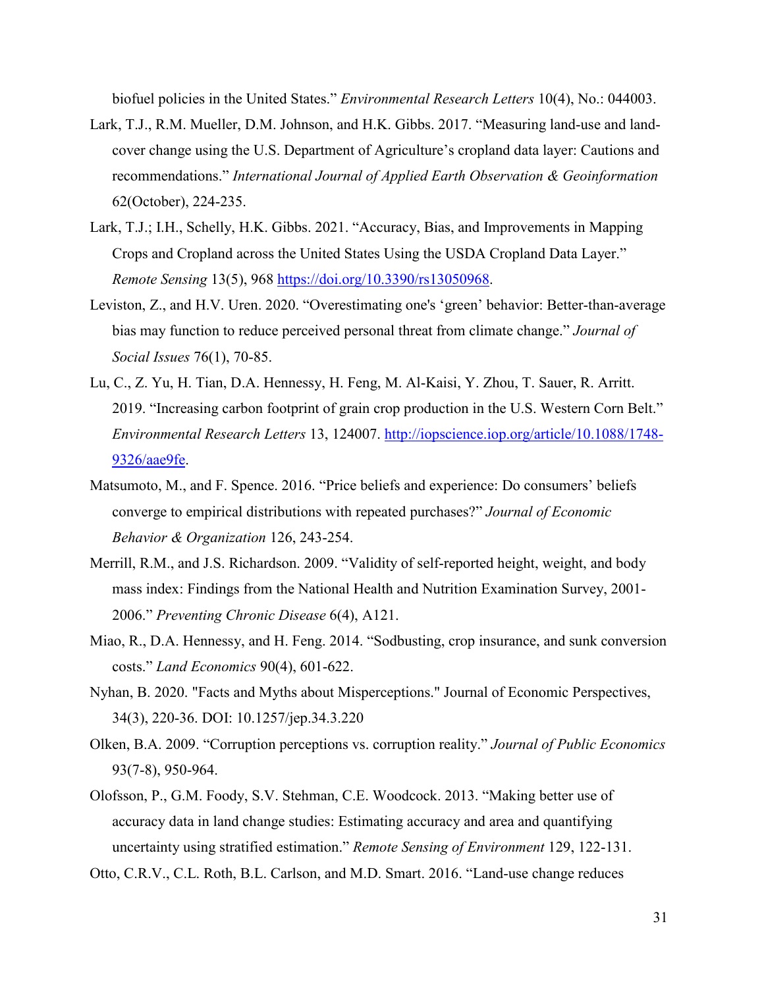biofuel policies in the United States." *Environmental Research Letters* 10(4), No.: 044003.

- Lark, T.J., R.M. Mueller, D.M. Johnson, and H.K. Gibbs. 2017. "Measuring land-use and landcover change using the U.S. Department of Agriculture's cropland data layer: Cautions and recommendations." *International Journal of Applied Earth Observation & Geoinformation* 62(October), 224-235.
- Lark, T.J.; I.H., Schelly, H.K. Gibbs. 2021. "Accuracy, Bias, and Improvements in Mapping Crops and Cropland across the United States Using the USDA Cropland Data Layer." *Remote Sensing* 13(5), 968 [https://doi.org/10.3390/rs13050968.](https://doi.org/10.3390/rs13050968)
- Leviston, Z., and H.V. Uren. 2020. "Overestimating one's 'green' behavior: Better-than-average bias may function to reduce perceived personal threat from climate change." *Journal of Social Issues* 76(1), 70-85.
- Lu, C., Z. Yu, H. Tian, D.A. Hennessy, H. Feng, M. Al-Kaisi, Y. Zhou, T. Sauer, R. Arritt. 2019. "Increasing carbon footprint of grain crop production in the U.S. Western Corn Belt." *Environmental Research Letters* 13, 124007. [http://iopscience.iop.org/article/10.1088/1748-](http://iopscience.iop.org/article/10.1088/1748-9326/aae9fe) [9326/aae9fe.](http://iopscience.iop.org/article/10.1088/1748-9326/aae9fe)
- Matsumoto, M., and F. Spence. 2016. "Price beliefs and experience: Do consumers' beliefs converge to empirical distributions with repeated purchases?" *Journal of Economic Behavior & Organization* 126, 243-254.
- Merrill, R.M., and J.S. Richardson. 2009. "Validity of self-reported height, weight, and body mass index: Findings from the National Health and Nutrition Examination Survey, 2001- 2006." *Preventing Chronic Disease* 6(4), A121.
- Miao, R., D.A. Hennessy, and H. Feng. 2014. "Sodbusting, crop insurance, and sunk conversion costs." *Land Economics* 90(4), 601-622.
- Nyhan, B. 2020. "Facts and Myths about Misperceptions." Journal of Economic Perspectives, 34(3), 220-36. DOI: 10.1257/jep.34.3.220
- Olken, B.A. 2009. "Corruption perceptions vs. corruption reality." *Journal of Public Economics* 93(7-8), 950-964.
- Olofsson, P., G.M. Foody, S.V. Stehman, C.E. Woodcock. 2013. "Making better use of accuracy data in land change studies: Estimating accuracy and area and quantifying uncertainty using stratified estimation." *Remote Sensing of Environment* 129, 122-131.

Otto, C.R.V., C.L. Roth, B.L. Carlson, and M.D. Smart. 2016. "Land-use change reduces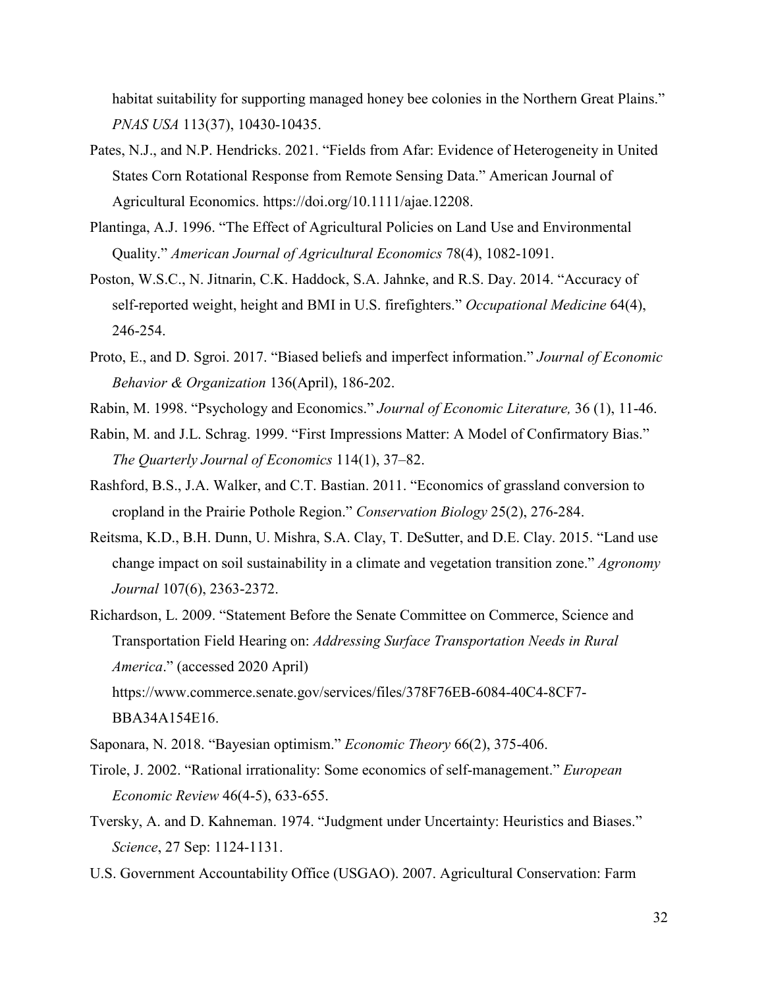habitat suitability for supporting managed honey bee colonies in the Northern Great Plains." *PNAS USA* 113(37), 10430-10435.

- Pates, N.J., and N.P. Hendricks. 2021. "Fields from Afar: Evidence of Heterogeneity in United States Corn Rotational Response from Remote Sensing Data." American Journal of Agricultural Economics. https://doi.org/10.1111/ajae.12208.
- Plantinga, A.J. 1996. "The Effect of Agricultural Policies on Land Use and Environmental Quality." *American Journal of Agricultural Economics* 78(4), 1082-1091.
- Poston, W.S.C., N. Jitnarin, C.K. Haddock, S.A. Jahnke, and R.S. Day. 2014. "Accuracy of self-reported weight, height and BMI in U.S. firefighters." *Occupational Medicine* 64(4), 246-254.
- Proto, E., and D. Sgroi. 2017. "Biased beliefs and imperfect information." *Journal of Economic Behavior & Organization* 136(April), 186-202.
- Rabin, M. 1998. "Psychology and Economics." *Journal of Economic Literature,* 36 (1), 11-46.
- Rabin, M. and J.L. Schrag. 1999. "First Impressions Matter: A Model of Confirmatory Bias." *The Quarterly Journal of Economics* 114(1), 37–82.
- Rashford, B.S., J.A. Walker, and C.T. Bastian. 2011. "Economics of grassland conversion to cropland in the Prairie Pothole Region." *Conservation Biology* 25(2), 276-284.
- Reitsma, K.D., B.H. Dunn, U. Mishra, S.A. Clay, T. DeSutter, and D.E. Clay. 2015. "Land use change impact on soil sustainability in a climate and vegetation transition zone." *Agronomy Journal* 107(6), 2363-2372.
- Richardson, L. 2009. "Statement Before the Senate Committee on Commerce, Science and Transportation Field Hearing on: *Addressing Surface Transportation Needs in Rural America*." (accessed 2020 April) https://www.commerce.senate.gov/services/files/378F76EB-6084-40C4-8CF7- BBA34A154E16.
- Saponara, N. 2018. "Bayesian optimism." *Economic Theory* 66(2), 375-406.
- Tirole, J. 2002. "Rational irrationality: Some economics of self-management." *European Economic Review* 46(4-5), 633-655.
- Tversky, A. and D. Kahneman. 1974. "Judgment under Uncertainty: Heuristics and Biases." *Science*, 27 Sep: 1124-1131.
- U.S. Government Accountability Office (USGAO). 2007. Agricultural Conservation: Farm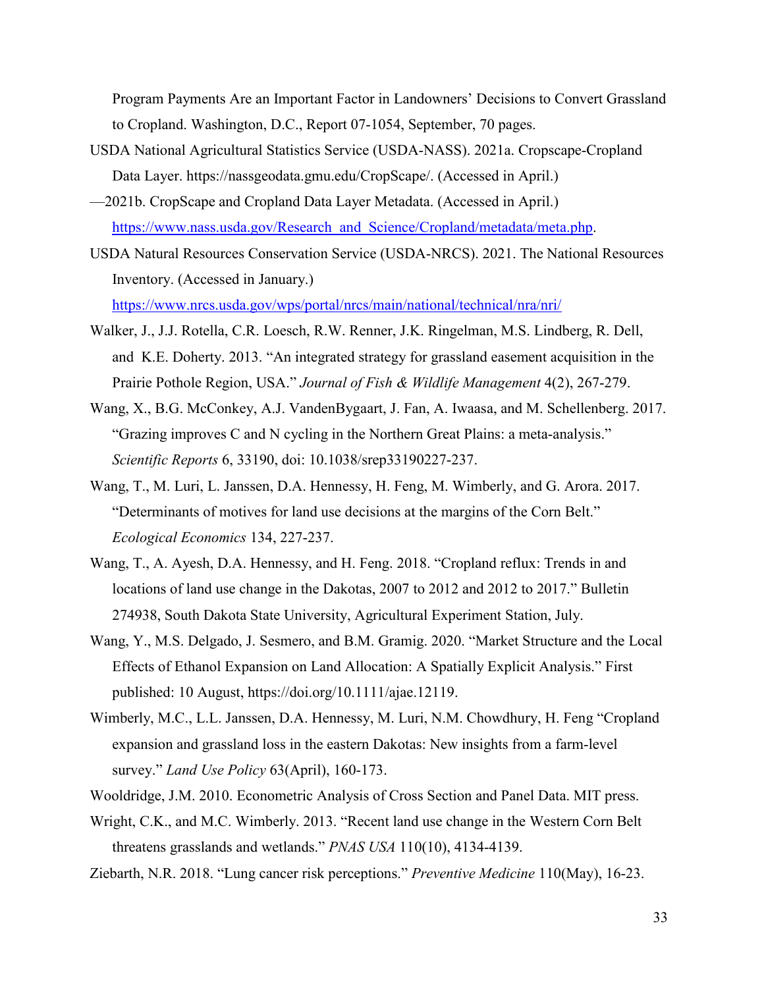Program Payments Are an Important Factor in Landowners' Decisions to Convert Grassland to Cropland. Washington, D.C., Report 07-1054, September, 70 pages.

- USDA National Agricultural Statistics Service (USDA-NASS). 2021a. Cropscape-Cropland Data Layer. https://nassgeodata.gmu.edu/CropScape/. (Accessed in April.)
- —2021b. CropScape and Cropland Data Layer Metadata. (Accessed in April.) [https://www.nass.usda.gov/Research\\_and\\_Science/Cropland/metadata/meta.php.](https://www.nass.usda.gov/Research_and_Science/Cropland/metadata/meta.php)
- USDA Natural Resources Conservation Service (USDA-NRCS). 2021. The National Resources Inventory. (Accessed in January.) <https://www.nrcs.usda.gov/wps/portal/nrcs/main/national/technical/nra/nri/>
- Walker, J., J.J. Rotella, C.R. Loesch, R.W. Renner, J.K. Ringelman, M.S. Lindberg, R. Dell, and K.E. Doherty. 2013. "An integrated strategy for grassland easement acquisition in the Prairie Pothole Region, USA." *Journal of Fish & Wildlife Management* 4(2), 267-279.
- Wang, X., B.G. McConkey, A.J. VandenBygaart, J. Fan, A. Iwaasa, and M. Schellenberg. 2017. "Grazing improves C and N cycling in the Northern Great Plains: a meta-analysis." *Scientific Reports* 6, 33190, doi: 10.1038/srep33190227-237.
- Wang, T., M. Luri, L. Janssen, D.A. Hennessy, H. Feng, M. Wimberly, and G. Arora. 2017. "Determinants of motives for land use decisions at the margins of the Corn Belt." *Ecological Economics* 134, 227-237.
- Wang, T., A. Ayesh, D.A. Hennessy, and H. Feng. 2018. "Cropland reflux: Trends in and locations of land use change in the Dakotas, 2007 to 2012 and 2012 to 2017." Bulletin 274938, South Dakota State University, Agricultural Experiment Station, July.
- Wang, Y., M.S. Delgado, J. Sesmero, and B.M. Gramig. 2020. "Market Structure and the Local Effects of Ethanol Expansion on Land Allocation: A Spatially Explicit Analysis." First published: 10 August, https://doi.org/10.1111/ajae.12119.
- Wimberly, M.C., L.L. Janssen, D.A. Hennessy, M. Luri, N.M. Chowdhury, H. Feng "Cropland expansion and grassland loss in the eastern Dakotas: New insights from a farm-level survey." *Land Use Policy* 63(April), 160-173.
- Wooldridge, J.M. 2010. Econometric Analysis of Cross Section and Panel Data. MIT press.
- Wright, C.K., and M.C. Wimberly. 2013. "Recent land use change in the Western Corn Belt threatens grasslands and wetlands." *PNAS USA* 110(10), 4134-4139.
- Ziebarth, N.R. 2018. "Lung cancer risk perceptions." *Preventive Medicine* 110(May), 16-23.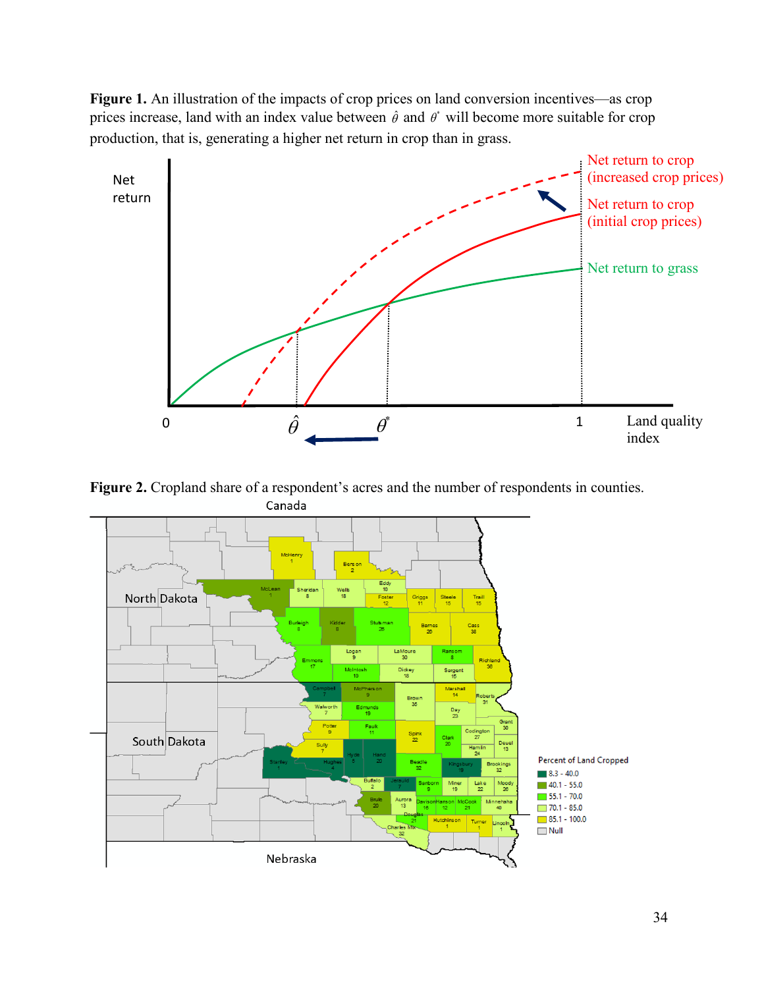**Figure 1.** An illustration of the impacts of crop prices on land conversion incentives—as crop prices increase, land with an index value between  $\hat{\theta}$  and  $\theta^*$  will become more suitable for crop production, that is, generating a higher net return in crop than in grass.



Figure 2. Cropland share of a respondent's acres and the number of respondents in counties. Canada

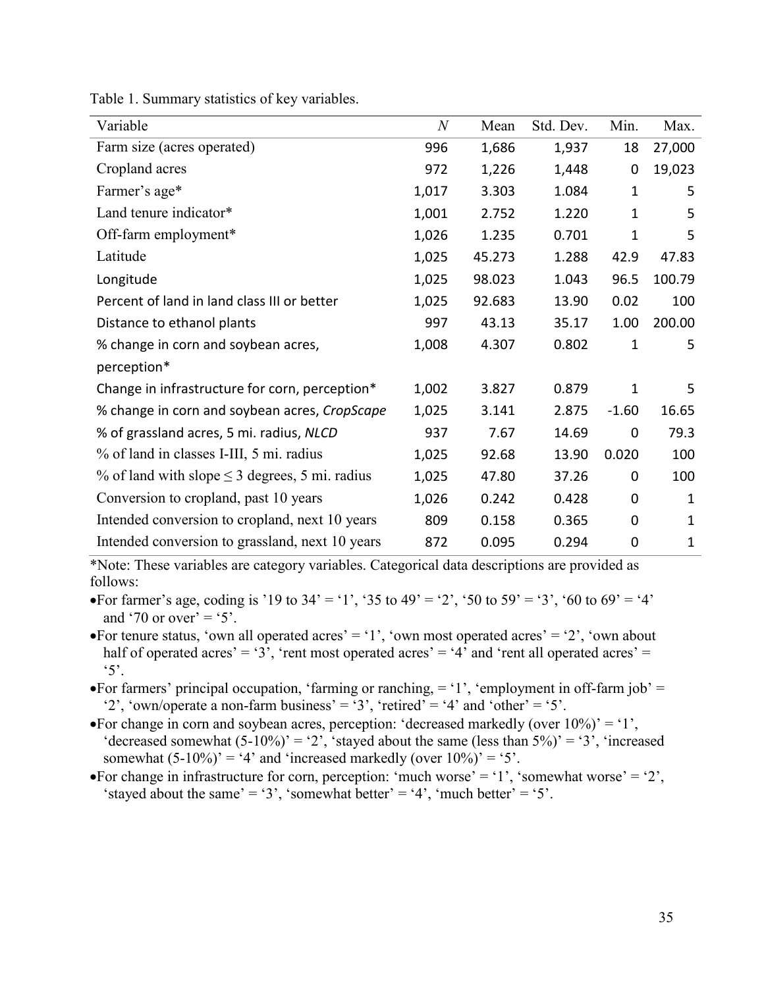| Variable                                            | $\boldsymbol{N}$ | Mean   | Std. Dev. | Min.         | Max.   |
|-----------------------------------------------------|------------------|--------|-----------|--------------|--------|
| Farm size (acres operated)                          | 996              | 1,686  | 1,937     | 18           | 27,000 |
| Cropland acres                                      | 972              | 1,226  | 1,448     | 0            | 19,023 |
| Farmer's age*                                       | 1,017            | 3.303  | 1.084     | $\mathbf 1$  | 5      |
| Land tenure indicator*                              | 1,001            | 2.752  | 1.220     | $\mathbf 1$  | 5      |
| Off-farm employment*                                | 1,026            | 1.235  | 0.701     | $\mathbf 1$  | 5      |
| Latitude                                            | 1,025            | 45.273 | 1.288     | 42.9         | 47.83  |
| Longitude                                           | 1,025            | 98.023 | 1.043     | 96.5         | 100.79 |
| Percent of land in land class III or better         | 1,025            | 92.683 | 13.90     | 0.02         | 100    |
| Distance to ethanol plants                          | 997              | 43.13  | 35.17     | 1.00         | 200.00 |
| % change in corn and soybean acres,                 | 1,008            | 4.307  | 0.802     | $\mathbf{1}$ | 5      |
| perception*                                         |                  |        |           |              |        |
| Change in infrastructure for corn, perception*      | 1,002            | 3.827  | 0.879     | 1            | 5      |
| % change in corn and soybean acres, CropScape       | 1,025            | 3.141  | 2.875     | $-1.60$      | 16.65  |
| % of grassland acres, 5 mi. radius, NLCD            | 937              | 7.67   | 14.69     | 0            | 79.3   |
| % of land in classes I-III, 5 mi. radius            | 1,025            | 92.68  | 13.90     | 0.020        | 100    |
| % of land with slope $\leq$ 3 degrees, 5 mi. radius | 1,025            | 47.80  | 37.26     | 0            | 100    |
| Conversion to cropland, past 10 years               | 1,026            | 0.242  | 0.428     | 0            | 1      |
| Intended conversion to cropland, next 10 years      | 809              | 0.158  | 0.365     | $\Omega$     | 1      |
| Intended conversion to grassland, next 10 years     | 872              | 0.095  | 0.294     | 0            | 1      |
|                                                     |                  |        |           |              |        |

Table 1. Summary statistics of key variables.

\*Note: These variables are category variables. Categorical data descriptions are provided as follows:

- •For farmer's age, coding is '19 to 34' = '1', '35 to 49' = '2', '50 to 59' = '3', '60 to 69' = '4' and '70 or over' = '5'.
- •For tenure status, 'own all operated acres' = '1', 'own most operated acres' = '2', 'own about half of operated acres' = '3', 'rent most operated acres' = '4' and 'rent all operated acres' =  $\cdot$ 5'.
- •For farmers' principal occupation, 'farming or ranching,  $= '1'$ , 'employment in off-farm job'  $=$ '2', 'own/operate a non-farm business' = '3', 'retired' = '4' and 'other' = '5'.
- •For change in corn and soybean acres, perception: 'decreased markedly (over  $10\%)' = '1',$ 'decreased somewhat  $(5-10\%)' = '2'$ , 'stayed about the same (less than  $5\%)' = '3'$ , 'increased somewhat  $(5-10\%)' = '4'$  and 'increased markedly (over  $10\%)' = '5'.$
- •For change in infrastructure for corn, perception: 'much worse' = '1', 'somewhat worse' = '2', 'stayed about the same' = '3', 'somewhat better' = '4', 'much better' = '5'.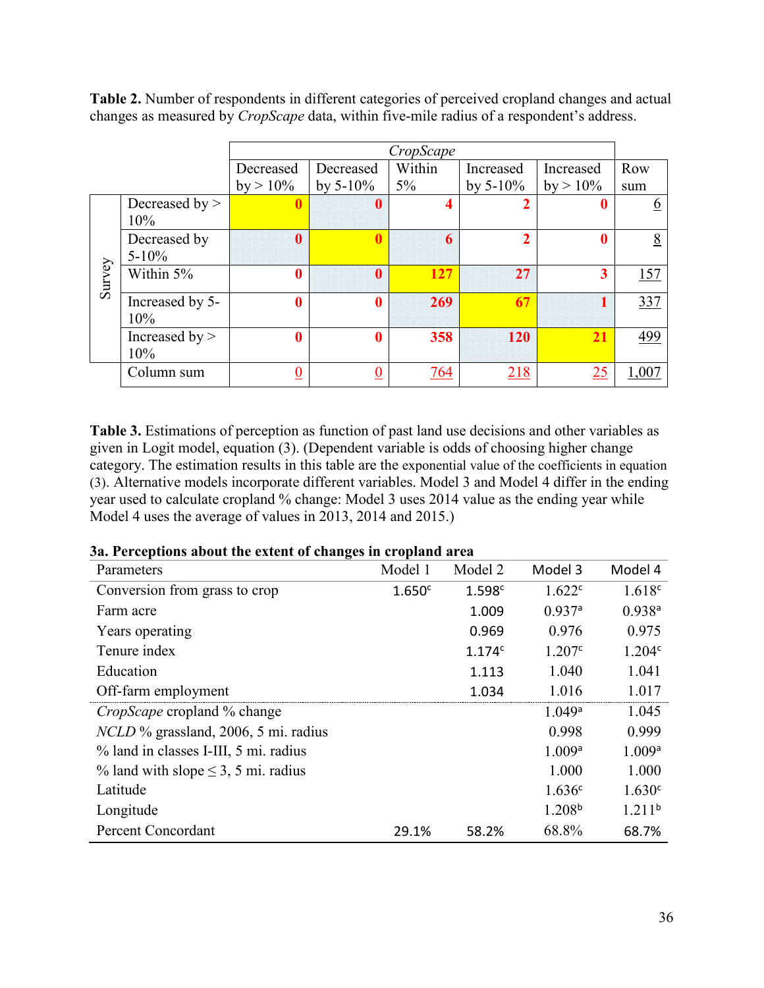**Table 2.** Number of respondents in different categories of perceived cropland changes and actual changes as measured by *CropScape* data, within five-mile radius of a respondent's address.

|        |                            | CropScape   |                |        |              |             |            |  |
|--------|----------------------------|-------------|----------------|--------|--------------|-------------|------------|--|
|        |                            | Decreased   | Decreased      | Within | Increased    | Increased   | Row        |  |
|        |                            | $by > 10\%$ | by 5-10%       | $5\%$  | by $5-10\%$  | $by > 10\%$ | sum        |  |
|        | Decreased by $>$<br>10%    |             | 0              | 4      | 2            | 0           | <u>6</u>   |  |
|        | Decreased by<br>$5 - 10\%$ | 0           | 0              | 6      | $\mathbf{2}$ | 0           | 8          |  |
| Survey | Within 5%                  |             | 0              | 127    | 27           | 3           | 157        |  |
|        | Increased by 5-<br>10%     |             | 0              | 269    | 67           |             | <u>337</u> |  |
|        | Increased by $>$<br>10%    |             | 0              | 358    | <b>120</b>   | 21          | 499        |  |
|        | Column sum                 | 0           | $\overline{0}$ | 764    | 218          | 25          | 1,007      |  |

**Table 3.** Estimations of perception as function of past land use decisions and other variables as given in Logit model, equation (3). (Dependent variable is odds of choosing higher change category. The estimation results in this table are the exponential value of the coefficients in equation (3). Alternative models incorporate different variables. Model 3 and Model 4 differ in the ending year used to calculate cropland % change: Model 3 uses 2014 value as the ending year while Model 4 uses the average of values in 2013, 2014 and 2015.)

## **3a. Perceptions about the extent of changes in cropland area**

| Parameters                               | Model 1 | Model 2            | Model 3            | Model 4            |
|------------------------------------------|---------|--------------------|--------------------|--------------------|
| Conversion from grass to crop            | 1.650c  | 1.598c             | 1.622c             | 1.618c             |
| Farm acre                                |         | 1.009              | 0.937a             | 0.938a             |
| Years operating                          |         | 0.969              | 0.976              | 0.975              |
| Tenure index                             |         | 1.174 <sup>c</sup> | 1.207c             | 1.204 <sup>c</sup> |
| Education                                |         | 1.113              | 1.040              | 1.041              |
| Off-farm employment                      |         | 1.034              | 1.016              | 1.017              |
| <i>CropScape</i> cropland % change       |         |                    | 1.049a             | 1.045              |
| NCLD % grassland, 2006, 5 mi. radius     |         |                    | 0.998              | 0.999              |
| % land in classes I-III, 5 mi. radius    |         |                    | 1.009a             | 1.009a             |
| % land with slope $\leq$ 3, 5 mi. radius |         |                    | 1.000              | 1.000              |
| Latitude                                 |         |                    | 1.636c             | 1.630c             |
| Longitude                                |         |                    | 1.208 <sup>b</sup> | 1.211 <sup>b</sup> |
| <b>Percent Concordant</b>                | 29.1%   | 58.2%              | 68.8%              | 68.7%              |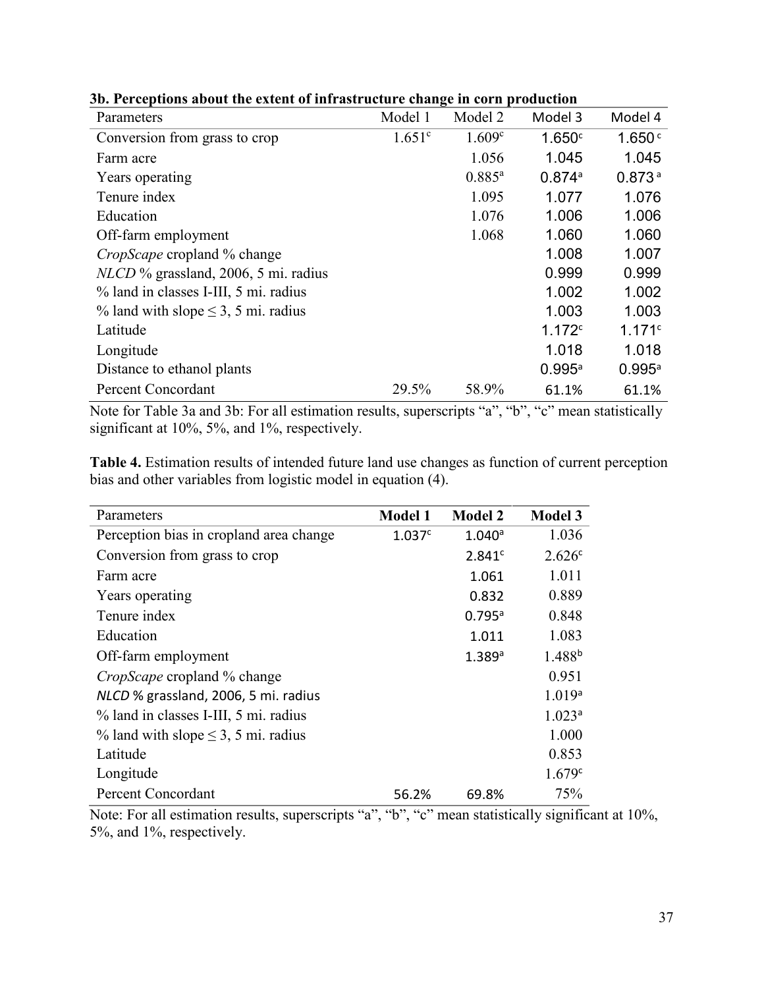| Parameters                                  | Model 1            | -<br>Model 2       | Model 3         | Model 4         |
|---------------------------------------------|--------------------|--------------------|-----------------|-----------------|
| Conversion from grass to crop               | 1.651 <sup>c</sup> | 1.609 <sup>c</sup> | 1.650c          | 1.650c          |
| Farm acre                                   |                    | 1.056              | 1.045           | 1.045           |
| Years operating                             |                    | $0.885^{a}$        | 0.874a          | 0.873a          |
| Tenure index                                |                    | 1.095              | 1.077           | 1.076           |
| Education                                   |                    | 1.076              | 1.006           | 1.006           |
| Off-farm employment                         |                    | 1.068              | 1.060           | 1.060           |
| <i>CropScape</i> cropland % change          |                    |                    | 1.008           | 1.007           |
| <i>NLCD</i> % grassland, 2006, 5 mi. radius |                    |                    | 0.999           | 0.999           |
| % land in classes I-III, 5 mi. radius       |                    |                    | 1.002           | 1.002           |
| % land with slope $\leq$ 3, 5 mi. radius    |                    |                    | 1.003           | 1.003           |
| Latitude                                    |                    |                    | 1.172c          | 1.171c          |
| Longitude                                   |                    |                    | 1.018           | 1.018           |
| Distance to ethanol plants                  |                    |                    | $0.995^{\circ}$ | $0.995^{\circ}$ |
| <b>Percent Concordant</b>                   | 29.5%              | 58.9%              | 61.1%           | 61.1%           |

**3b. Perceptions about the extent of infrastructure change in corn production**

Note for Table 3a and 3b: For all estimation results, superscripts "a", "b", "c" mean statistically significant at 10%, 5%, and 1%, respectively.

**Table 4.** Estimation results of intended future land use changes as function of current perception bias and other variables from logistic model in equation (4).

| Parameters                                  | <b>Model 1</b> | <b>Model 2</b> | <b>Model 3</b>     |
|---------------------------------------------|----------------|----------------|--------------------|
| Perception bias in cropland area change     | 1.037c         | 1.040a         | 1.036              |
| Conversion from grass to crop               |                | 2.841c         | 2.626c             |
| Farm acre                                   |                | 1.061          | 1.011              |
| Years operating                             |                | 0.832          | 0.889              |
| Tenure index                                |                | 0.795a         | 0.848              |
| Education                                   |                | 1.011          | 1.083              |
| Off-farm employment                         |                | 1.389a         | 1.488 <sup>b</sup> |
| <i>CropScape</i> cropland % change          |                |                | 0.951              |
| NLCD % grassland, 2006, 5 mi. radius        |                |                | 1.019a             |
| % land in classes I-III, 5 mi. radius       |                |                | 1.023a             |
| $\%$ land with slope $\leq$ 3, 5 mi. radius |                |                | 1.000              |
| Latitude                                    |                |                | 0.853              |
| Longitude                                   |                |                | 1.679c             |
| <b>Percent Concordant</b>                   | 56.2%          | 69.8%          | 75%                |

Note: For all estimation results, superscripts "a", "b", "c" mean statistically significant at 10%, 5%, and 1%, respectively.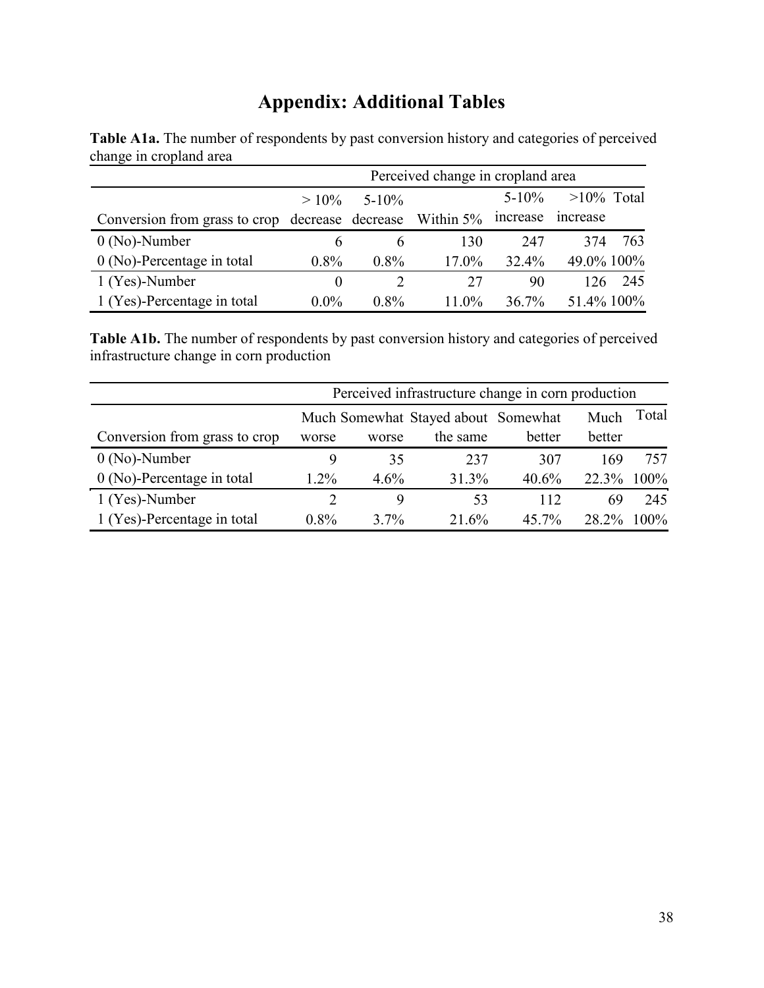# **Appendix: Additional Tables**

**Table A1a.** The number of respondents by past conversion history and categories of perceived change in cropland area

|                                                           |          | Perceived change in cropland area |                           |          |                |     |  |  |  |
|-----------------------------------------------------------|----------|-----------------------------------|---------------------------|----------|----------------|-----|--|--|--|
|                                                           | $>10\%$  | $5 - 10\%$                        | $>10\%$ Total<br>$5-10\%$ |          |                |     |  |  |  |
| Conversion from grass to crop decrease decrease Within 5% |          |                                   |                           | increase | <i>ncrease</i> |     |  |  |  |
| $0$ (No)-Number                                           | h        |                                   | 130                       | 247      | 374            | 763 |  |  |  |
| $0$ (No)-Percentage in total                              | $0.8\%$  | $0.8\%$                           | $17.0\%$                  | 32.4%    | 49.0% 100%     |     |  |  |  |
| 1 (Yes)-Number                                            | $\theta$ |                                   | 27                        | 90       | 126            | 245 |  |  |  |
| 1 (Yes)-Percentage in total                               | $0.0\%$  | $0.8\%$                           | $11.0\%$                  | $36.7\%$ | 51.4% 100%     |     |  |  |  |

Table A1b. The number of respondents by past conversion history and categories of perceived infrastructure change in corn production

|                               | Perceived infrastructure change in corn production |         |                                               |                |       |         |  |  |
|-------------------------------|----------------------------------------------------|---------|-----------------------------------------------|----------------|-------|---------|--|--|
| Conversion from grass to crop | worse                                              | worse   | Much Somewhat Stayed about Somewhat<br>better | Much<br>better | Total |         |  |  |
| $0$ (No)-Number               | 9                                                  | 35      | 237                                           | 307            | 169   | 757     |  |  |
| $0$ (No)-Percentage in total  | $1.2\%$                                            | $4.6\%$ | 31.3%                                         | 40.6%          | 22.3% | 100%    |  |  |
| 1 (Yes)-Number                |                                                    | 9       | 53                                            | 112            | 69    | 245     |  |  |
| 1 (Yes)-Percentage in total   | $0.8\%$                                            | $3.7\%$ | 21.6%                                         | 45 7%          | 28.2% | $100\%$ |  |  |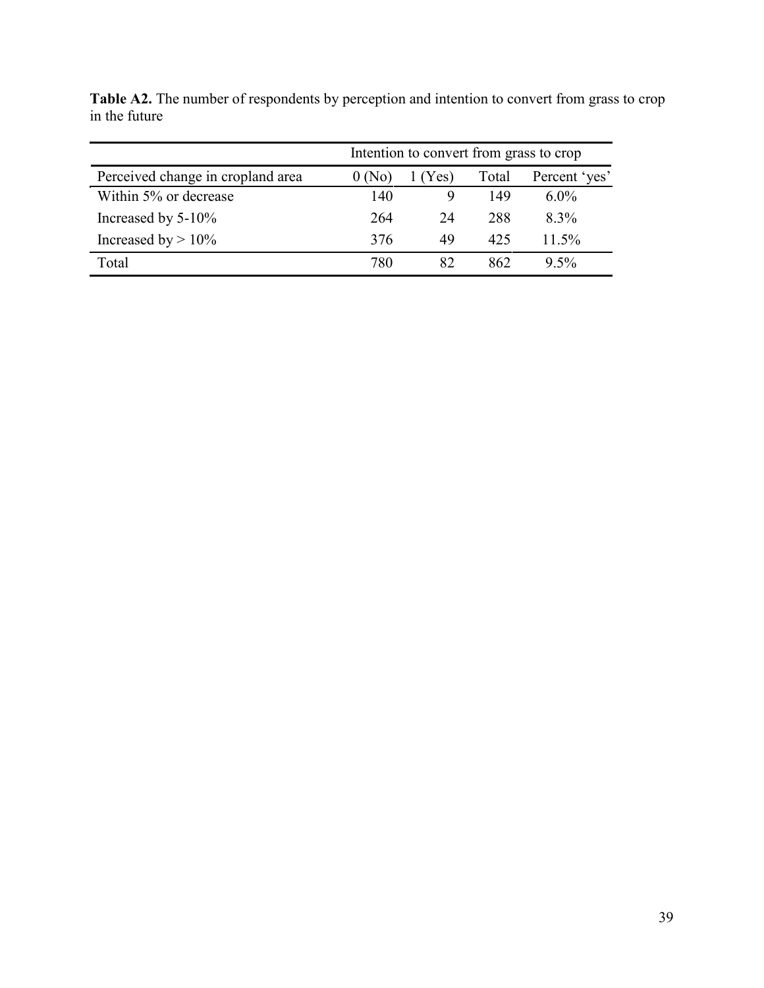|                                   | Intention to convert from grass to crop |           |       |               |  |  |
|-----------------------------------|-----------------------------------------|-----------|-------|---------------|--|--|
| Perceived change in cropland area | 0(No)                                   | $1$ (Yes) | Total | Percent 'yes' |  |  |
| Within 5% or decrease             | 140                                     |           | 149   | $6.0\%$       |  |  |
| Increased by $5-10\%$             | 264                                     | 24        | 288   | $8.3\%$       |  |  |
| Increased by $> 10\%$             | 376                                     | 49        | 425   | $11.5\%$      |  |  |
| Total                             | 780                                     | 82        | 862   | $9.5\%$       |  |  |

**Table A2.** The number of respondents by perception and intention to convert from grass to crop in the future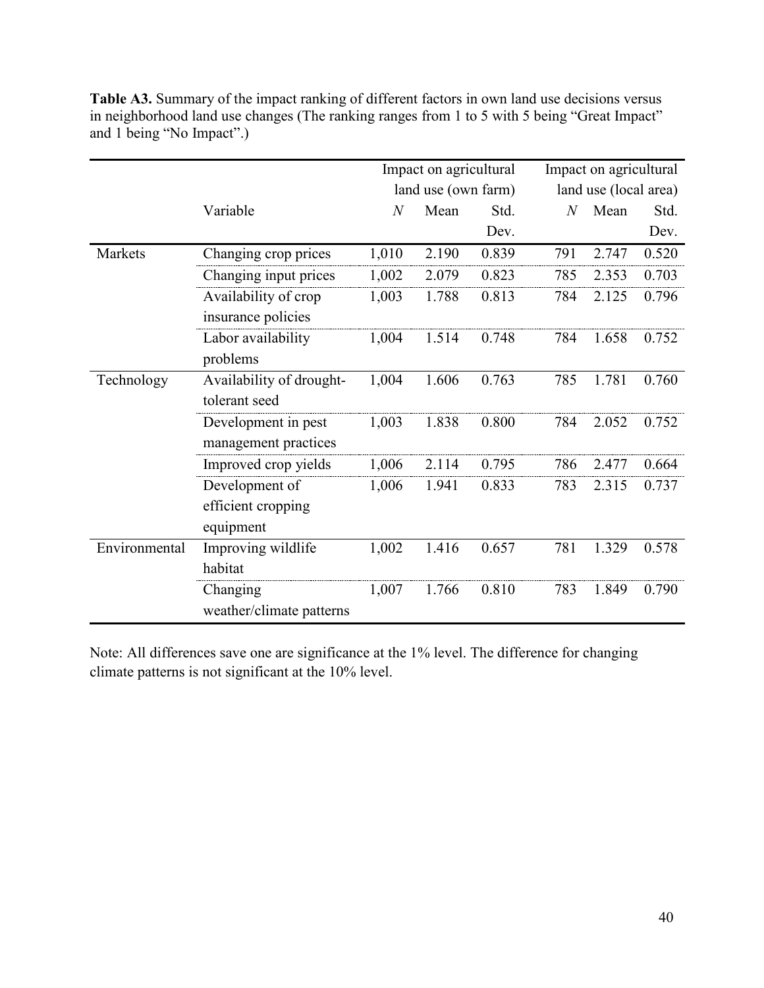|               |                          | Impact on agricultural |       |       |                       | Impact on agricultural |       |
|---------------|--------------------------|------------------------|-------|-------|-----------------------|------------------------|-------|
|               |                          | land use (own farm)    |       |       | land use (local area) |                        |       |
|               | Variable                 | $\overline{N}$         | Mean  | Std.  | N                     | Mean                   | Std.  |
|               |                          |                        |       | Dev.  |                       |                        | Dev.  |
| Markets       | Changing crop prices     | 1,010                  | 2.190 | 0.839 | 791                   | 2.747                  | 0.520 |
|               | Changing input prices    | 1,002                  | 2.079 | 0.823 | 785                   | 2.353                  | 0.703 |
|               | Availability of crop     | 1,003                  | 1.788 | 0.813 | 784                   | 2.125                  | 0.796 |
|               | insurance policies       |                        |       |       |                       |                        |       |
|               | Labor availability       | 1,004                  | 1.514 | 0.748 | 784                   | 1.658                  | 0.752 |
|               | problems                 |                        |       |       |                       |                        |       |
| Technology    | Availability of drought- | 1,004                  | 1.606 | 0.763 | 785                   | 1.781                  | 0.760 |
|               | tolerant seed            |                        |       |       |                       |                        |       |
|               | Development in pest      | 1,003                  | 1.838 | 0.800 | 784                   | 2.052                  | 0.752 |
|               | management practices     |                        |       |       |                       |                        |       |
|               | Improved crop yields     | 1,006                  | 2.114 | 0.795 | 786                   | 2.477                  | 0.664 |
|               | Development of           | 1,006                  | 1.941 | 0.833 | 783                   | 2.315                  | 0.737 |
|               | efficient cropping       |                        |       |       |                       |                        |       |
|               | equipment                |                        |       |       |                       |                        |       |
| Environmental | Improving wildlife       | 1,002                  | 1.416 | 0.657 | 781                   | 1.329                  | 0.578 |
|               | habitat                  |                        |       |       |                       |                        |       |
|               | Changing                 | 1,007                  | 1.766 | 0.810 | 783                   | 1.849                  | 0.790 |
|               | weather/climate patterns |                        |       |       |                       |                        |       |

**Table A3.** Summary of the impact ranking of different factors in own land use decisions versus in neighborhood land use changes (The ranking ranges from 1 to 5 with 5 being "Great Impact" and 1 being "No Impact".)

Note: All differences save one are significance at the 1% level. The difference for changing climate patterns is not significant at the 10% level.